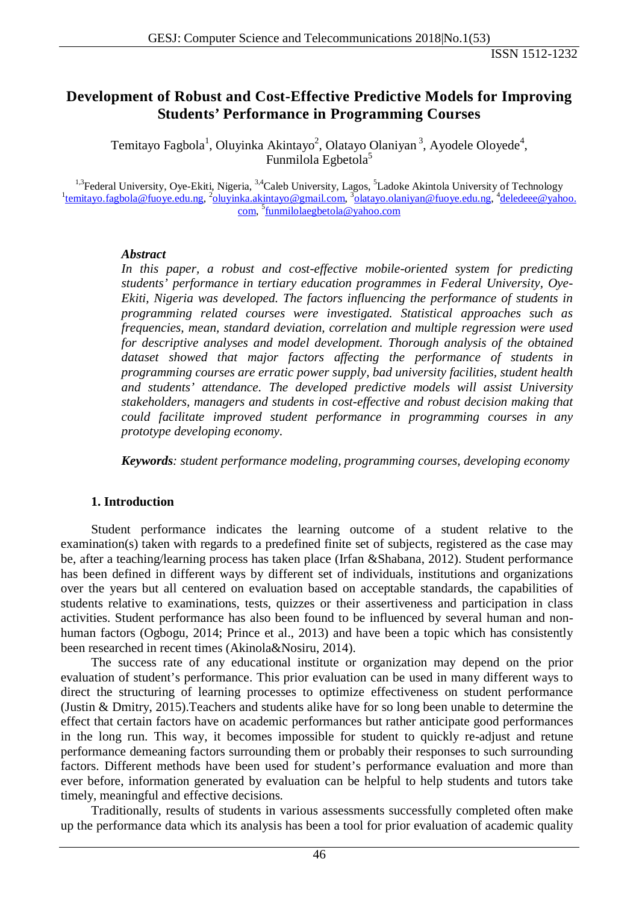# **Development of Robust and Cost-Effective Predictive Models for Improving Students' Performance in Programming Courses**

Temitayo Fagbola<sup>1</sup>, Oluyinka Akintayo<sup>2</sup>, Olatayo Olaniyan<sup>3</sup>, Ayodele Oloyede<sup>4</sup>, Funmilola Egbetola<sup>5</sup>

<sup>1,3</sup>Federal University, Oye-Ekiti, Nigeria, <sup>3,4</sup>Caleb University, Lagos, <sup>5</sup>Ladoke Akintola University of Technology<br><sup>1</sup>[temitayo.fagbola@fuoye.edu.ng,](mailto:temitayo.fagbola@fuoye.edu.ng?subject=for_Temitayo_Fagbola_ID_3591) <sup>2</sup>[oluyinka.akintayo@gmail.com,](mailto:oluyinka.akintayo@gmail.com?subject=for_Oluyinka_Akintayo_ID_3594) <sup>3</sup>[olatayo.olaniyan@fuoye.edu.ng,](mailto:olatayo.olaniyan@fuoye.edu.ng?subject=for_Olatayo_Olaniyan_ID_3595) <sup>4</sup> [com,](mailto:deledeee@yahoo.com?subject=for_Ayodele_Oloyede_ID_3596) <sup>5</sup>[funmilolaegbetola@yahoo.com](mailto:funmilolaegbetola@yahoo.com?subject=for_Funmilola_Egbetola_ID_3597)

#### *Abstract*

In this paper, a robust and cost-effective mobile-oriented system for predicting *students' performance in tertiary education programmes in Federal University, Oye-Ekiti, Nigeria was developed. The factors influencing the performance of students in programming related courses were investigated. Statistical approaches such as frequencies, mean, standard deviation, correlation and multiple regression were used for descriptive analyses and model development. Thorough analysis of the obtained dataset showed that major factors affecting the performance of students in programming courses are erratic power supply, bad university facilities, student health and students' attendance. The developed predictive models will assist University stakeholders, managers and students in cost-effective and robust decision making that could facilitate improved student performance in programming courses in any prototype developing economy.*

*Keywords: student performance modeling, programming courses, developing economy*

#### **1. Introduction**

Student performance indicates the learning outcome of a student relative to the examination(s) taken with regards to a predefined finite set of subjects, registered as the case may be, after a teaching/learning process has taken place (Irfan &Shabana, 2012). Student performance has been defined in different ways by different set of individuals, institutions and organizations over the years but all centered on evaluation based on acceptable standards, the capabilities of students relative to examinations, tests, quizzes or their assertiveness and participation in class activities. Student performance has also been found to be influenced by several human and nonhuman factors (Ogbogu, 2014; Prince et al., 2013) and have been a topic which has consistently been researched in recent times (Akinola&Nosiru, 2014).

The success rate of any educational institute or organization may depend on the prior evaluation of student's performance. This prior evaluation can be used in many different ways to direct the structuring of learning processes to optimize effectiveness on student performance (Justin & Dmitry, 2015).Teachers and students alike have for so long been unable to determine the effect that certain factors have on academic performances but rather anticipate good performances in the long run. This way, it becomes impossible for student to quickly re-adjust and retune performance demeaning factors surrounding them or probably their responses to such surrounding factors. Different methods have been used for student's performance evaluation and more than ever before, information generated by evaluation can be helpful to help students and tutors take timely, meaningful and effective decisions.

Traditionally, results of students in various assessments successfully completed often make up the performance data which its analysis has been a tool for prior evaluation of academic quality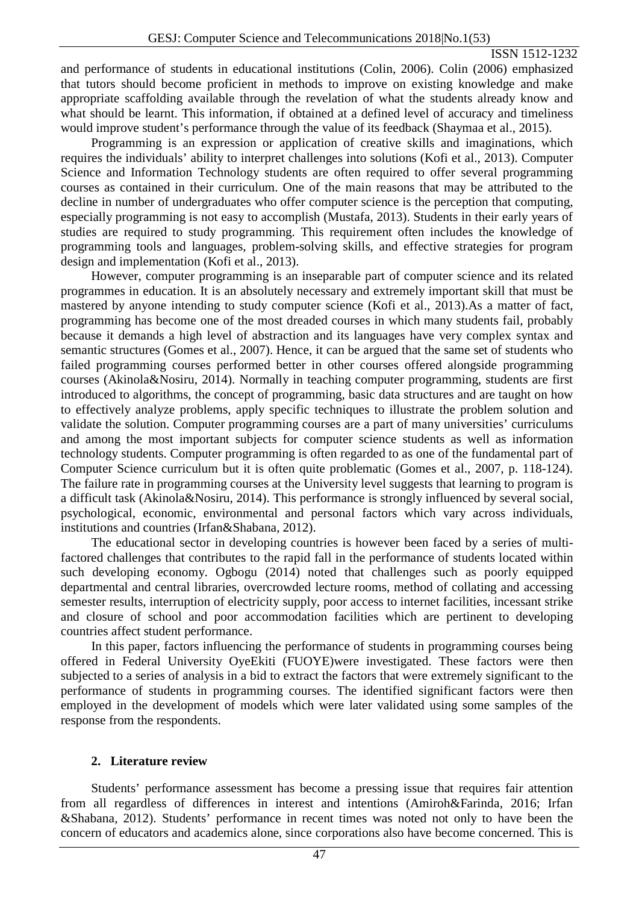and performance of students in educational institutions (Colin, 2006). Colin (2006) emphasized that tutors should become proficient in methods to improve on existing knowledge and make appropriate scaffolding available through the revelation of what the students already know and what should be learnt. This information, if obtained at a defined level of accuracy and timeliness would improve student's performance through the value of its feedback (Shaymaa et al., 2015).

Programming is an expression or application of creative skills and imaginations, which requires the individuals' ability to interpret challenges into solutions (Kofi et al., 2013). Computer Science and Information Technology students are often required to offer several programming courses as contained in their curriculum. One of the main reasons that may be attributed to the decline in number of undergraduates who offer computer science is the perception that computing, especially programming is not easy to accomplish (Mustafa, 2013). Students in their early years of studies are required to study programming. This requirement often includes the knowledge of programming tools and languages, problem-solving skills, and effective strategies for program design and implementation (Kofi et al., 2013).

However, computer programming is an inseparable part of computer science and its related programmes in education. It is an absolutely necessary and extremely important skill that must be mastered by anyone intending to study computer science (Kofi et al., 2013).As a matter of fact, programming has become one of the most dreaded courses in which many students fail, probably because it demands a high level of abstraction and its languages have very complex syntax and semantic structures (Gomes et al., 2007). Hence, it can be argued that the same set of students who failed programming courses performed better in other courses offered alongside programming courses (Akinola&Nosiru, 2014). Normally in teaching computer programming, students are first introduced to algorithms, the concept of programming, basic data structures and are taught on how to effectively analyze problems, apply specific techniques to illustrate the problem solution and validate the solution. Computer programming courses are a part of many universities' curriculums and among the most important subjects for computer science students as well as information technology students. Computer programming is often regarded to as one of the fundamental part of Computer Science curriculum but it is often quite problematic (Gomes et al., 2007, p. 118-124). The failure rate in programming courses at the University level suggests that learning to program is a difficult task (Akinola&Nosiru, 2014). This performance is strongly influenced by several social, psychological, economic, environmental and personal factors which vary across individuals, institutions and countries (Irfan&Shabana, 2012).

The educational sector in developing countries is however been faced by a series of multifactored challenges that contributes to the rapid fall in the performance of students located within such developing economy. Ogbogu (2014) noted that challenges such as poorly equipped departmental and central libraries, overcrowded lecture rooms, method of collating and accessing semester results, interruption of electricity supply, poor access to internet facilities, incessant strike and closure of school and poor accommodation facilities which are pertinent to developing countries affect student performance.

In this paper, factors influencing the performance of students in programming courses being offered in Federal University OyeEkiti (FUOYE)were investigated. These factors were then subjected to a series of analysis in a bid to extract the factors that were extremely significant to the performance of students in programming courses. The identified significant factors were then employed in the development of models which were later validated using some samples of the response from the respondents.

#### **2. Literature review**

Students' performance assessment has become a pressing issue that requires fair attention from all regardless of differences in interest and intentions (Amiroh&Farinda, 2016; Irfan &Shabana, 2012). Students' performance in recent times was noted not only to have been the concern of educators and academics alone, since corporations also have become concerned. This is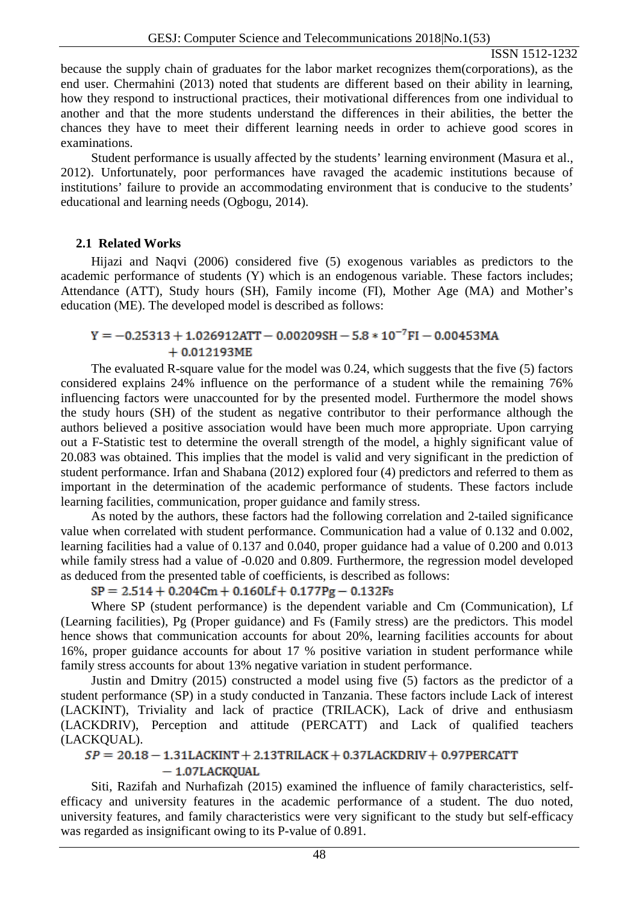because the supply chain of graduates for the labor market recognizes them(corporations), as the end user. Chermahini (2013) noted that students are different based on their ability in learning, how they respond to instructional practices, their motivational differences from one individual to another and that the more students understand the differences in their abilities, the better the chances they have to meet their different learning needs in order to achieve good scores in examinations.

Student performance is usually affected by the students' learning environment (Masura et al., 2012). Unfortunately, poor performances have ravaged the academic institutions because of institutions' failure to provide an accommodating environment that is conducive to the students' educational and learning needs (Ogbogu, 2014).

## **2.1 Related Works**

Hijazi and Naqvi (2006) considered five (5) exogenous variables as predictors to the academic performance of students (Y) which is an endogenous variable. These factors includes; Attendance (ATT), Study hours (SH), Family income (FI), Mother Age (MA) and Mother's education (ME). The developed model is described as follows:

# $Y = -0.25313 + 1.026912$ ATT - 0.00209SH - 5.8  $*10^{-7}$ FI - 0.00453MA  $+0.012193ME$

The evaluated R-square value for the model was 0.24, which suggests that the five (5) factors considered explains 24% influence on the performance of a student while the remaining 76% influencing factors were unaccounted for by the presented model. Furthermore the model shows the study hours (SH) of the student as negative contributor to their performance although the authors believed a positive association would have been much more appropriate. Upon carrying out a F-Statistic test to determine the overall strength of the model, a highly significant value of 20.083 was obtained. This implies that the model is valid and very significant in the prediction of student performance. Irfan and Shabana (2012) explored four (4) predictors and referred to them as important in the determination of the academic performance of students. These factors include learning facilities, communication, proper guidance and family stress.

As noted by the authors, these factors had the following correlation and 2-tailed significance value when correlated with student performance. Communication had a value of 0.132 and 0.002, learning facilities had a value of 0.137 and 0.040, proper guidance had a value of 0.200 and 0.013 while family stress had a value of -0.020 and 0.809. Furthermore, the regression model developed as deduced from the presented table of coefficients, is described as follows:

## $SP = 2.514 + 0.204$ Cm + 0.160Lf + 0.177Pg - 0.132Fs

Where SP (student performance) is the dependent variable and Cm (Communication), Lf (Learning facilities), Pg (Proper guidance) and Fs (Family stress) are the predictors. This model hence shows that communication accounts for about 20%, learning facilities accounts for about 16%, proper guidance accounts for about 17 % positive variation in student performance while family stress accounts for about 13% negative variation in student performance.

Justin and Dmitry (2015) constructed a model using five (5) factors as the predictor of a student performance (SP) in a study conducted in Tanzania. These factors include Lack of interest (LACKINT), Triviality and lack of practice (TRILACK), Lack of drive and enthusiasm (LACKDRIV), Perception and attitude (PERCATT) and Lack of qualified teachers (LACKQUAL).

## $SP = 20.18 - 1.31$ LACKINT + 2.13TRILACK + 0.37LACKDRIV + 0.97PERCATT  $-1.07$ LACKQUAL

Siti, Razifah and Nurhafizah (2015) examined the influence of family characteristics, selfefficacy and university features in the academic performance of a student. The duo noted, university features, and family characteristics were very significant to the study but self-efficacy was regarded as insignificant owing to its P-value of 0.891.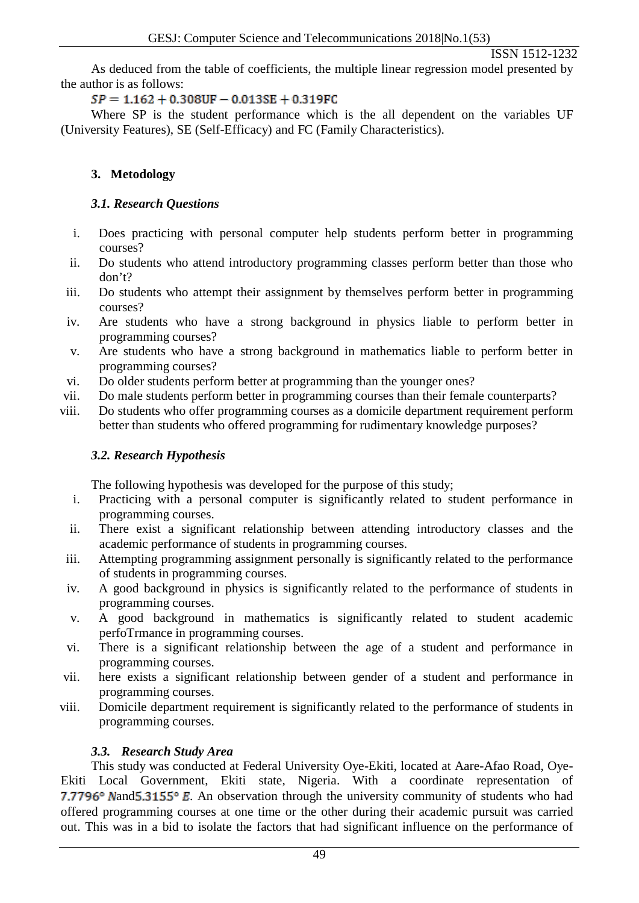As deduced from the table of coefficients, the multiple linear regression model presented by the author is as follows:

# $SP = 1.162 + 0.308$ UF  $- 0.013SE + 0.319$ FC

Where SP is the student performance which is the all dependent on the variables UF (University Features), SE (Self-Efficacy) and FC (Family Characteristics).

# **3. Metodology**

# *3.1. Research Questions*

- i. Does practicing with personal computer help students perform better in programming courses?
- ii. Do students who attend introductory programming classes perform better than those who don't?
- iii. Do students who attempt their assignment by themselves perform better in programming courses?
- iv. Are students who have a strong background in physics liable to perform better in programming courses?
- v. Are students who have a strong background in mathematics liable to perform better in programming courses?
- vi. Do older students perform better at programming than the younger ones?
- vii. Do male students perform better in programming courses than their female counterparts?
- viii. Do students who offer programming courses as a domicile department requirement perform better than students who offered programming for rudimentary knowledge purposes?

# *3.2. Research Hypothesis*

The following hypothesis was developed for the purpose of this study;

- i. Practicing with a personal computer is significantly related to student performance in programming courses.
- ii. There exist a significant relationship between attending introductory classes and the academic performance of students in programming courses.
- iii. Attempting programming assignment personally is significantly related to the performance of students in programming courses.
- iv. A good background in physics is significantly related to the performance of students in programming courses.
- v. A good background in mathematics is significantly related to student academic perfoTrmance in programming courses.
- vi. There is a significant relationship between the age of a student and performance in programming courses.
- vii. here exists a significant relationship between gender of a student and performance in programming courses.
- viii. Domicile department requirement is significantly related to the performance of students in programming courses.

# *3.3. Research Study Area*

This study was conducted at Federal University Oye-Ekiti, located at Aare-Afao Road, Oye-Ekiti Local Government, Ekiti state, Nigeria. With a coordinate representation of **7.7796°** Nand 5.3155° E. An observation through the university community of students who had offered programming courses at one time or the other during their academic pursuit was carried out. This was in a bid to isolate the factors that had significant influence on the performance of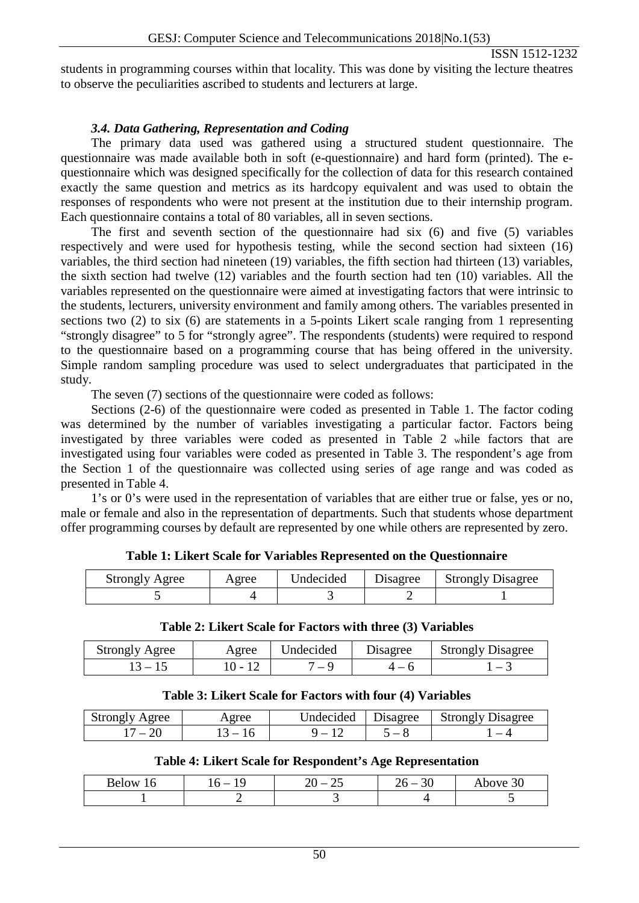students in programming courses within that locality. This was done by visiting the lecture theatres to observe the peculiarities ascribed to students and lecturers at large.

#### *3.4. Data Gathering, Representation and Coding*

The primary data used was gathered using a structured student questionnaire. The questionnaire was made available both in soft (e-questionnaire) and hard form (printed). The equestionnaire which was designed specifically for the collection of data for this research contained exactly the same question and metrics as its hardcopy equivalent and was used to obtain the responses of respondents who were not present at the institution due to their internship program. Each questionnaire contains a total of 80 variables, all in seven sections.

The first and seventh section of the questionnaire had six (6) and five (5) variables respectively and were used for hypothesis testing, while the second section had sixteen (16) variables, the third section had nineteen (19) variables, the fifth section had thirteen (13) variables, the sixth section had twelve (12) variables and the fourth section had ten (10) variables. All the variables represented on the questionnaire were aimed at investigating factors that were intrinsic to the students, lecturers, university environment and family among others. The variables presented in sections two (2) to six (6) are statements in a 5-points Likert scale ranging from 1 representing "strongly disagree" to 5 for "strongly agree". The respondents (students) were required to respond to the questionnaire based on a programming course that has being offered in the university. Simple random sampling procedure was used to select undergraduates that participated in the study.

The seven (7) sections of the questionnaire were coded as follows:

Sections (2-6) of the questionnaire were coded as presented in Table 1. The factor coding was determined by the number of variables investigating a particular factor. Factors being investigated by three variables were coded as presented in Table 2 while factors that are investigated using four variables were coded as presented in Table 3. The respondent's age from the Section 1 of the questionnaire was collected using series of age range and was coded as presented in Table 4.

1's or 0's were used in the representation of variables that are either true or false, yes or no, male or female and also in the representation of departments. Such that students whose department offer programming courses by default are represented by one while others are represented by zero.

| <b>Strongly Agree</b> | Agree | Undecided | Disagree | <b>Strongly Disagree</b> |
|-----------------------|-------|-----------|----------|--------------------------|
|                       |       |           |          |                          |

| Table 2: Likert Scale for Factors with three (3) Variables |  |  |  |
|------------------------------------------------------------|--|--|--|
|------------------------------------------------------------|--|--|--|

| <b>Strongly Agree</b> | Agree          | Undecided | Disagree | <b>Strongly Disagree</b> |
|-----------------------|----------------|-----------|----------|--------------------------|
| $1.5 - 1.$            | $\mathbf{U}$ – | $-4$      |          |                          |

#### **Table 3: Likert Scale for Factors with four (4) Variables**

| Strongly Agree | Agree                    | Undecided | <b>Disagree</b> | <b>Strongly Disagree</b> |
|----------------|--------------------------|-----------|-----------------|--------------------------|
|                | $\overline{\phantom{0}}$ |           |                 |                          |

#### **Table 4: Likert Scale for Respondent's Age Representation**

| Below<br>10. | . . | $\sim$ $\sim$<br>৲∕<br>$\overline{\phantom{a}}$<br>$\overline{\phantom{m}}$<br>- - | or<br>υU<br>$\overline{\phantom{a}}$ | 30<br>Above. |
|--------------|-----|------------------------------------------------------------------------------------|--------------------------------------|--------------|
|              |     |                                                                                    |                                      |              |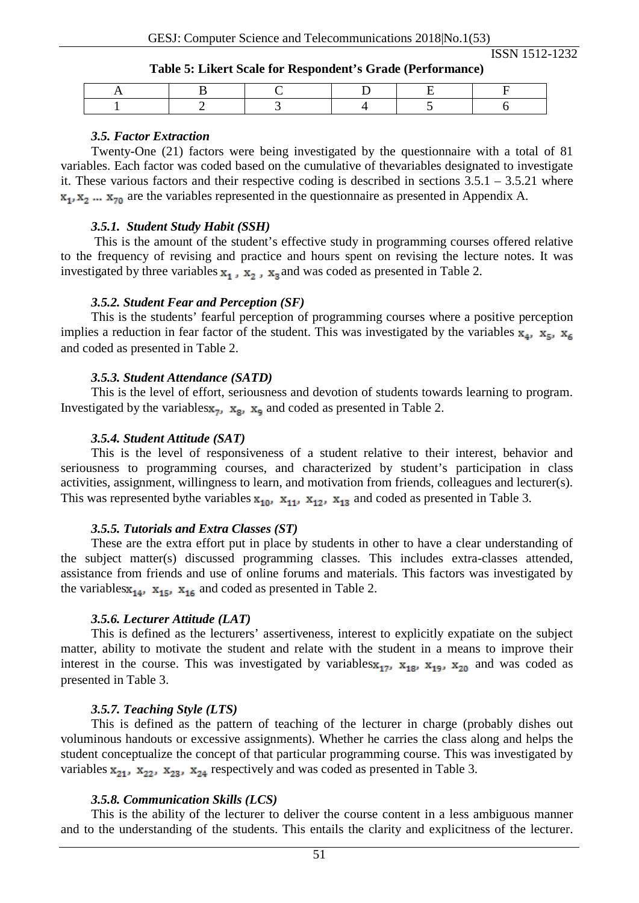#### **Table 5: Likert Scale for Respondent's Grade (Performance)**

#### *3.5. Factor Extraction*

Twenty-One (21) factors were being investigated by the questionnaire with a total of 81 variables. Each factor was coded based on the cumulative of thevariables designated to investigate it. These various factors and their respective coding is described in sections 3.5.1 – 3.5.21 where  $x_1, x_2, \ldots, x_{70}$  are the variables represented in the questionnaire as presented in Appendix A.

#### *3.5.1. Student Study Habit (SSH)*

This is the amount of the student's effective study in programming courses offered relative to the frequency of revising and practice and hours spent on revising the lecture notes. It was investigated by three variables  $x_1$ ,  $x_2$ ,  $x_3$  and was coded as presented in Table 2.

#### *3.5.2. Student Fear and Perception (SF)*

This is the students' fearful perception of programming courses where a positive perception implies a reduction in fear factor of the student. This was investigated by the variables  $\mathbf{x}_4$ ,  $\mathbf{x}_5$ ,  $\mathbf{x}_6$ and coded as presented in Table 2.

#### *3.5.3. Student Attendance (SATD)*

This is the level of effort, seriousness and devotion of students towards learning to program. Investigated by the variables  $x_{7}$ ,  $x_{8}$ ,  $x_{9}$  and coded as presented in Table 2.

#### *3.5.4. Student Attitude (SAT)*

This is the level of responsiveness of a student relative to their interest, behavior and seriousness to programming courses, and characterized by student's participation in class activities, assignment, willingness to learn, and motivation from friends, colleagues and lecturer(s). This was represented by the variables  $x_{10}$ ,  $x_{11}$ ,  $x_{12}$ ,  $x_{13}$  and coded as presented in Table 3.

#### *3.5.5. Tutorials and Extra Classes (ST)*

These are the extra effort put in place by students in other to have a clear understanding of the subject matter(s) discussed programming classes. This includes extra-classes attended, assistance from friends and use of online forums and materials. This factors was investigated by the variables  $x_{14}$ ,  $x_{15}$ ,  $x_{16}$  and coded as presented in Table 2.

#### *3.5.6. Lecturer Attitude (LAT)*

This is defined as the lecturers' assertiveness, interest to explicitly expatiate on the subject matter, ability to motivate the student and relate with the student in a means to improve their interest in the course. This was investigated by variables  $x_{17}$ ,  $x_{18}$ ,  $x_{19}$ ,  $x_{20}$  and was coded as presented in Table 3.

#### *3.5.7. Teaching Style (LTS)*

This is defined as the pattern of teaching of the lecturer in charge (probably dishes out voluminous handouts or excessive assignments). Whether he carries the class along and helps the student conceptualize the concept of that particular programming course. This was investigated by variables  $x_{21}$ ,  $x_{22}$ ,  $x_{23}$ ,  $x_{24}$  respectively and was coded as presented in Table 3.

#### *3.5.8. Communication Skills (LCS)*

This is the ability of the lecturer to deliver the course content in a less ambiguous manner and to the understanding of the students. This entails the clarity and explicitness of the lecturer.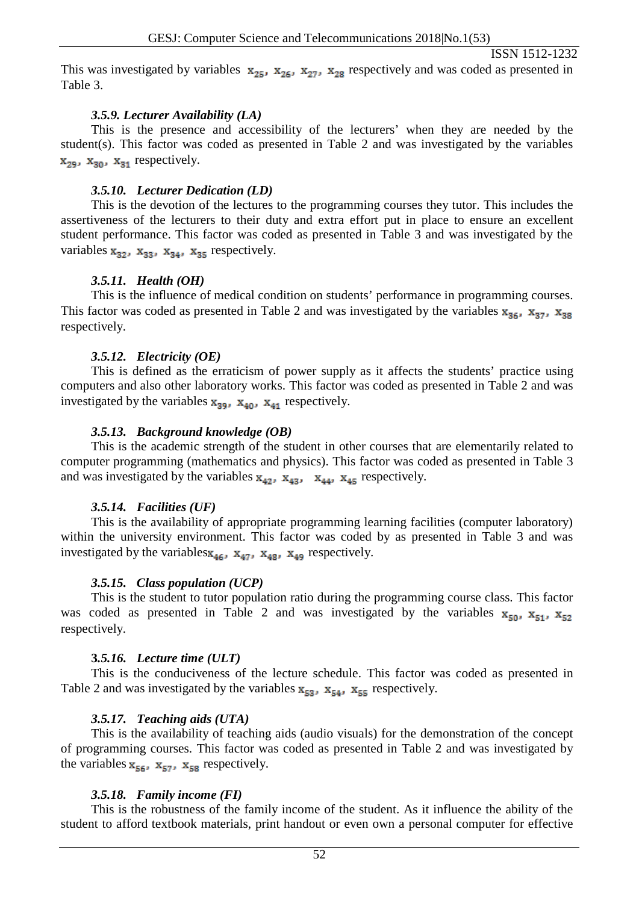This was investigated by variables  $x_{25}$ ,  $x_{26}$ ,  $x_{27}$ ,  $x_{28}$  respectively and was coded as presented in Table 3.

#### *3.5.9. Lecturer Availability (LA)*

This is the presence and accessibility of the lecturers' when they are needed by the student(s). This factor was coded as presented in Table 2 and was investigated by the variables  $x_{29}$ ,  $x_{30}$ ,  $x_{31}$  respectively.

#### *3.5.10. Lecturer Dedication (LD)*

This is the devotion of the lectures to the programming courses they tutor. This includes the assertiveness of the lecturers to their duty and extra effort put in place to ensure an excellent student performance. This factor was coded as presented in Table 3 and was investigated by the variables  $x_{32}$ ,  $x_{33}$ ,  $x_{34}$ ,  $x_{35}$  respectively.

## *3.5.11. Health (OH)*

This is the influence of medical condition on students' performance in programming courses. This factor was coded as presented in Table 2 and was investigated by the variables  $\mathbf{x}_{36}$ ,  $\mathbf{x}_{37}$ ,  $\mathbf{x}_{38}$ respectively.

## *3.5.12. Electricity (OE)*

This is defined as the erraticism of power supply as it affects the students' practice using computers and also other laboratory works. This factor was coded as presented in Table 2 and was investigated by the variables  $x_{39}$ ,  $x_{40}$ ,  $x_{41}$  respectively.

## *3.5.13. Background knowledge (OB)*

This is the academic strength of the student in other courses that are elementarily related to computer programming (mathematics and physics). This factor was coded as presented in Table 3 and was investigated by the variables  $x_{42}$ ,  $x_{43}$ ,  $x_{44}$ ,  $x_{45}$  respectively.

## *3.5.14. Facilities (UF)*

This is the availability of appropriate programming learning facilities (computer laboratory) within the university environment. This factor was coded by as presented in Table 3 and was investigated by the variables  $x_{46}$ ,  $x_{47}$ ,  $x_{48}$ ,  $x_{49}$  respectively.

## *3.5.15. Class population (UCP)*

This is the student to tutor population ratio during the programming course class. This factor was coded as presented in Table 2 and was investigated by the variables  $\mathbf{x}_{50}$ ,  $\mathbf{x}_{51}$ ,  $\mathbf{x}_{52}$ respectively.

## **3***.5.16. Lecture time (ULT)*

This is the conduciveness of the lecture schedule. This factor was coded as presented in Table 2 and was investigated by the variables  $x_{53}$ ,  $x_{54}$ ,  $x_{55}$  respectively.

## *3.5.17. Teaching aids (UTA)*

This is the availability of teaching aids (audio visuals) for the demonstration of the concept of programming courses. This factor was coded as presented in Table 2 and was investigated by the variables  $x_{56}$ ,  $x_{57}$ ,  $x_{58}$  respectively.

## *3.5.18. Family income (FI)*

This is the robustness of the family income of the student. As it influence the ability of the student to afford textbook materials, print handout or even own a personal computer for effective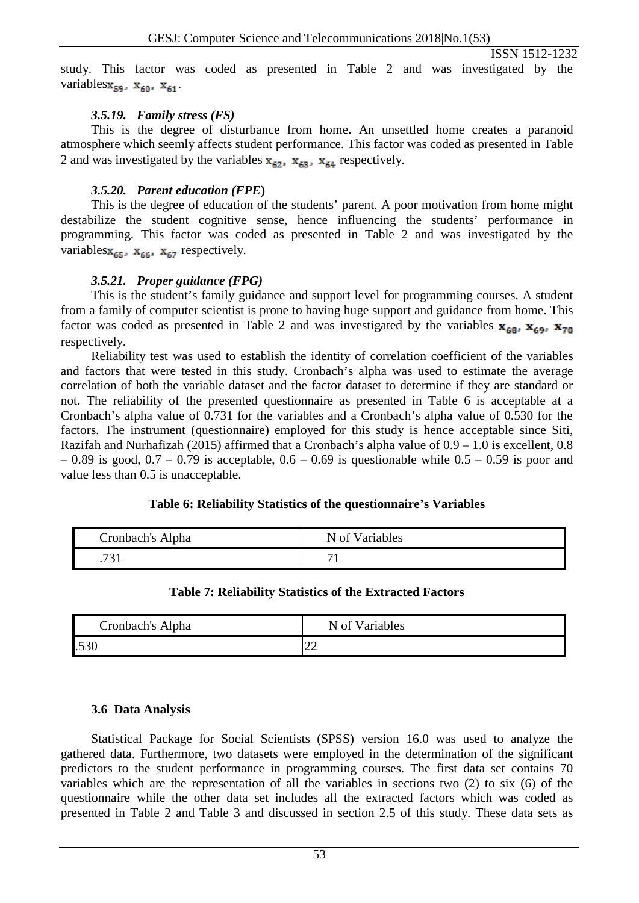study. This factor was coded as presented in Table 2 and was investigated by the variables $\mathbf{x}_{\text{sgn}}$ ,  $\mathbf{x}_{\text{sgn}}$ ,  $\mathbf{x}_{\text{sq}}$ .

#### *3.5.19. Family stress (FS)*

This is the degree of disturbance from home. An unsettled home creates a paranoid atmosphere which seemly affects student performance. This factor was coded as presented in Table 2 and was investigated by the variables  $\mathbf{x}_{\epsilon 2}$ ,  $\mathbf{x}_{\epsilon 3}$ ,  $\mathbf{x}_{\epsilon 4}$  respectively.

#### *3.5.20. Parent education (FPE***)**

This is the degree of education of the students' parent. A poor motivation from home might destabilize the student cognitive sense, hence influencing the students' performance in programming. This factor was coded as presented in Table 2 and was investigated by the variables $\mathbf{x}_{65}$ ,  $\mathbf{x}_{66}$ ,  $\mathbf{x}_{67}$  respectively.

## *3.5.21. Proper guidance (FPG)*

This is the student's family guidance and support level for programming courses. A student from a family of computer scientist is prone to having huge support and guidance from home. This factor was coded as presented in Table 2 and was investigated by the variables  $\mathbf{x}_{68}$ ,  $\mathbf{x}_{70}$ respectively.

Reliability test was used to establish the identity of correlation coefficient of the variables and factors that were tested in this study. Cronbach's alpha was used to estimate the average correlation of both the variable dataset and the factor dataset to determine if they are standard or not. The reliability of the presented questionnaire as presented in Table 6 is acceptable at a Cronbach's alpha value of 0.731 for the variables and a Cronbach's alpha value of 0.530 for the factors. The instrument (questionnaire) employed for this study is hence acceptable since Siti, Razifah and Nurhafizah (2015) affirmed that a Cronbach's alpha value of 0.9 – 1.0 is excellent, 0.8  $-0.89$  is good,  $0.7 - 0.79$  is acceptable,  $0.6 - 0.69$  is questionable while  $0.5 - 0.59$  is poor and value less than 0.5 is unacceptable.

## **Table 6: Reliability Statistics of the questionnaire's Variables**

| Cronbach's Alpha | N of Variables |
|------------------|----------------|
| 721<br>.   J 1   |                |

## **Table 7: Reliability Statistics of the Extracted Factors**

| Cronbach's Alpha | N of Variables                     |
|------------------|------------------------------------|
| .530             | $\sim$<br>$\overline{\phantom{m}}$ |

## **3.6 Data Analysis**

Statistical Package for Social Scientists (SPSS) version 16.0 was used to analyze the gathered data. Furthermore, two datasets were employed in the determination of the significant predictors to the student performance in programming courses. The first data set contains 70 variables which are the representation of all the variables in sections two (2) to six (6) of the questionnaire while the other data set includes all the extracted factors which was coded as presented in Table 2 and Table 3 and discussed in section 2.5 of this study. These data sets as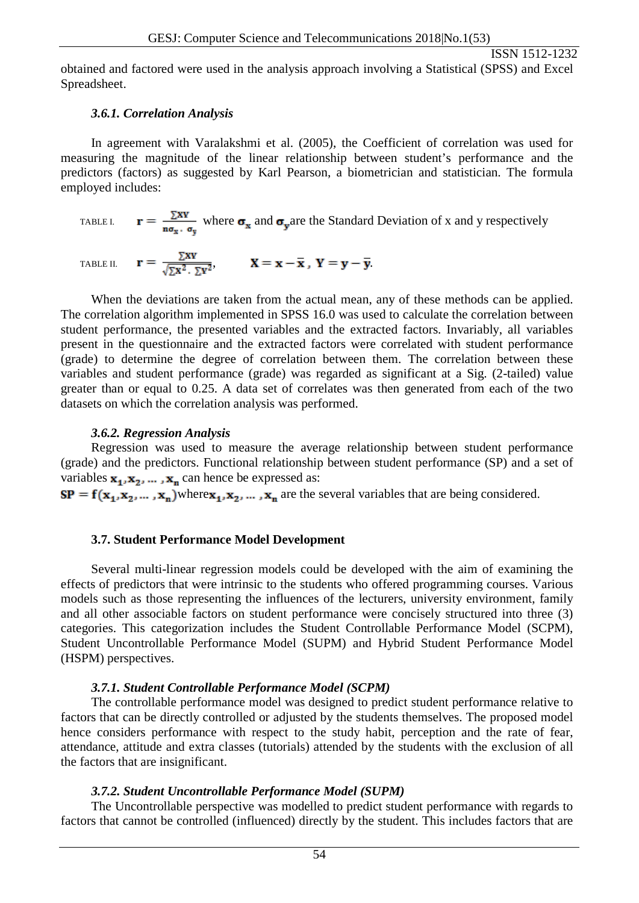obtained and factored were used in the analysis approach involving a Statistical (SPSS) and Excel Spreadsheet.

#### *3.6.1. Correlation Analysis*

In agreement with Varalakshmi et al. (2005), the Coefficient of correlation was used for measuring the magnitude of the linear relationship between student's performance and the predictors (factors) as suggested by Karl Pearson, a biometrician and statistician. The formula employed includes:

TABLE I. 
$$
\mathbf{r} = \frac{\sum xy}{n\sigma_x \cdot \sigma_y}
$$
 where  $\sigma_x$  and  $\sigma_y$  are the Standard Deviation of x and y respectively

TABLE II. 
$$
\mathbf{r} = \frac{\Sigma x \mathbf{v}}{\sqrt{\Sigma x^2 \cdot \Sigma y^2}}, \qquad \mathbf{X} = \mathbf{x} - \overline{\mathbf{x}}, \ \mathbf{Y} = \mathbf{y} - \overline{\mathbf{y}}.
$$

When the deviations are taken from the actual mean, any of these methods can be applied. The correlation algorithm implemented in SPSS 16.0 was used to calculate the correlation between student performance, the presented variables and the extracted factors. Invariably, all variables present in the questionnaire and the extracted factors were correlated with student performance (grade) to determine the degree of correlation between them. The correlation between these variables and student performance (grade) was regarded as significant at a Sig. (2-tailed) value greater than or equal to 0.25. A data set of correlates was then generated from each of the two datasets on which the correlation analysis was performed.

#### *3.6.2. Regression Analysis*

Regression was used to measure the average relationship between student performance (grade) and the predictors. Functional relationship between student performance (SP) and a set of variables  $\mathbf{x}_1, \mathbf{x}_2, \dots, \mathbf{x}_n$  can hence be expressed as:

 $SP = f(x_1, x_2, ..., x_n)$  where  $x_1, x_2, ..., x_n$  are the several variables that are being considered.

## **3.7. Student Performance Model Development**

Several multi-linear regression models could be developed with the aim of examining the effects of predictors that were intrinsic to the students who offered programming courses. Various models such as those representing the influences of the lecturers, university environment, family and all other associable factors on student performance were concisely structured into three (3) categories. This categorization includes the Student Controllable Performance Model (SCPM), Student Uncontrollable Performance Model (SUPM) and Hybrid Student Performance Model (HSPM) perspectives.

## *3.7.1. Student Controllable Performance Model (SCPM)*

The controllable performance model was designed to predict student performance relative to factors that can be directly controlled or adjusted by the students themselves. The proposed model hence considers performance with respect to the study habit, perception and the rate of fear, attendance, attitude and extra classes (tutorials) attended by the students with the exclusion of all the factors that are insignificant.

#### *3.7.2. Student Uncontrollable Performance Model (SUPM)*

The Uncontrollable perspective was modelled to predict student performance with regards to factors that cannot be controlled (influenced) directly by the student. This includes factors that are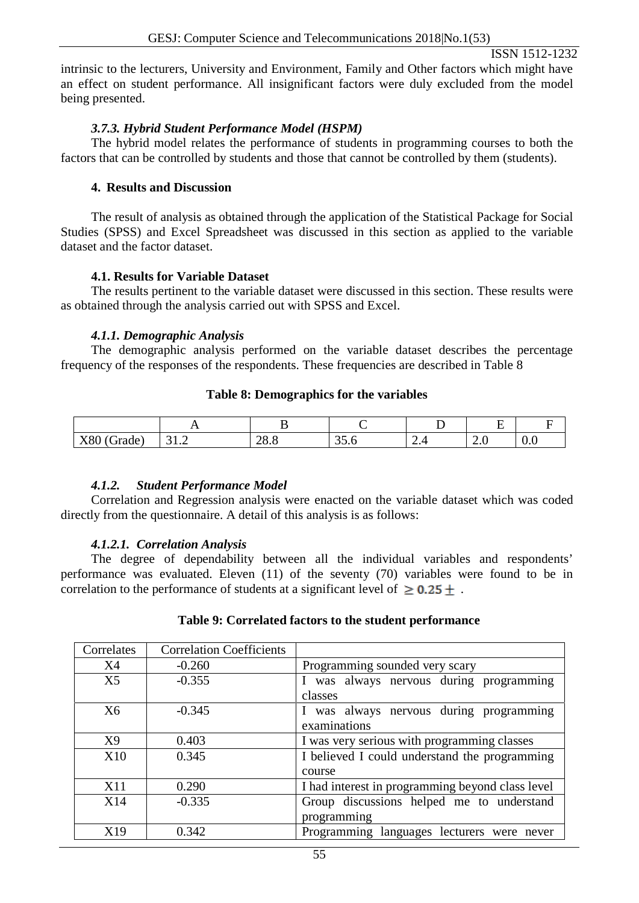intrinsic to the lecturers, University and Environment, Family and Other factors which might have an effect on student performance. All insignificant factors were duly excluded from the model being presented.

# *3.7.3. Hybrid Student Performance Model (HSPM)*

The hybrid model relates the performance of students in programming courses to both the factors that can be controlled by students and those that cannot be controlled by them (students).

#### **4. Results and Discussion**

The result of analysis as obtained through the application of the Statistical Package for Social Studies (SPSS) and Excel Spreadsheet was discussed in this section as applied to the variable dataset and the factor dataset.

## **4.1. Results for Variable Dataset**

The results pertinent to the variable dataset were discussed in this section. These results were as obtained through the analysis carried out with SPSS and Excel.

#### *4.1.1. Demographic Analysis*

The demographic analysis performed on the variable dataset describes the percentage frequency of the responses of the respondents. These frequencies are described in Table 8

#### **Table 8: Demographics for the variables**

|                                                 | . .              |            |                       |               | $\overline{\phantom{0}}$<br>- |     |
|-------------------------------------------------|------------------|------------|-----------------------|---------------|-------------------------------|-----|
| $\sim$<br>$\mathbf{v}$ or<br>rade<br><b>AOU</b> | $\sim$<br>J 1. J | ററ<br>40.0 | $\sim$ $\sim$<br>JJ.V | $\sim$ $\sim$ | -<br>$\sim$ $\sim$            | v.v |

## *4.1.2. Student Performance Model*

Correlation and Regression analysis were enacted on the variable dataset which was coded directly from the questionnaire. A detail of this analysis is as follows:

## *4.1.2.1. Correlation Analysis*

The degree of dependability between all the individual variables and respondents' performance was evaluated. Eleven (11) of the seventy (70) variables were found to be in correlation to the performance of students at a significant level of  $\geq 0.25 +$ .

#### **Table 9: Correlated factors to the student performance**

| Correlates     | <b>Correlation Coefficients</b> |                                                  |
|----------------|---------------------------------|--------------------------------------------------|
| <b>X4</b>      | $-0.260$                        | Programming sounded very scary                   |
| X <sub>5</sub> | $-0.355$                        | I was always nervous during programming          |
|                |                                 | classes                                          |
| X <sub>6</sub> | $-0.345$                        | I was always nervous during programming          |
|                |                                 | examinations                                     |
| X9             | 0.403                           | I was very serious with programming classes      |
| <b>X10</b>     | 0.345                           | I believed I could understand the programming    |
|                |                                 | course                                           |
| <b>X11</b>     | 0.290                           | I had interest in programming beyond class level |
| X14            | $-0.335$                        | Group discussions helped me to understand        |
|                |                                 | programming                                      |
| X19            | 0.342                           | Programming languages lecturers were never       |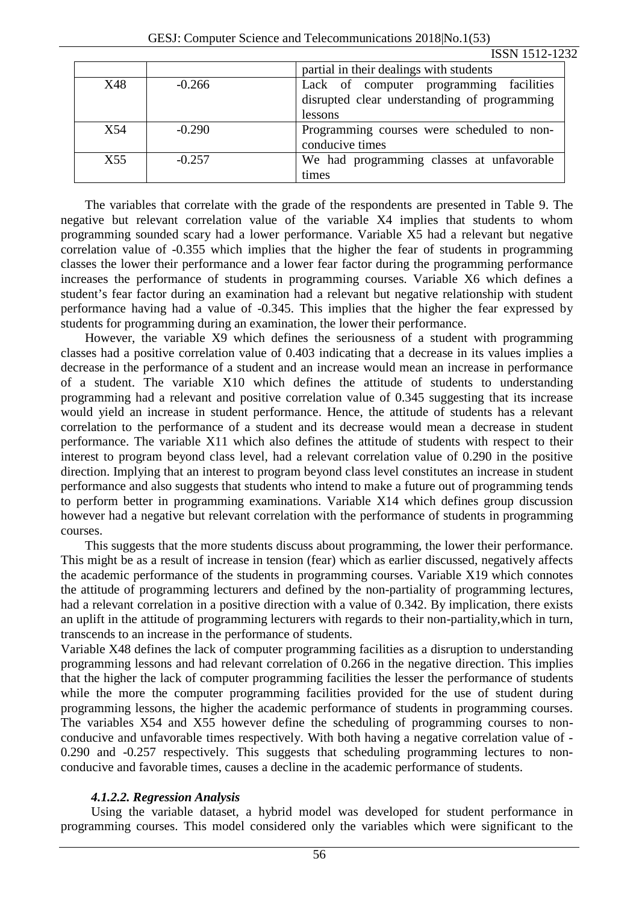|                 |          | partial in their dealings with students      |
|-----------------|----------|----------------------------------------------|
| X48             | $-0.266$ | Lack of computer programming facilities      |
|                 |          | disrupted clear understanding of programming |
|                 |          | lessons                                      |
| X54             | $-0.290$ | Programming courses were scheduled to non-   |
|                 |          | conducive times                              |
| X <sub>55</sub> | $-0.257$ | We had programming classes at unfavorable    |
|                 |          | times                                        |

The variables that correlate with the grade of the respondents are presented in Table 9. The negative but relevant correlation value of the variable X4 implies that students to whom programming sounded scary had a lower performance. Variable X5 had a relevant but negative correlation value of -0.355 which implies that the higher the fear of students in programming classes the lower their performance and a lower fear factor during the programming performance increases the performance of students in programming courses. Variable X6 which defines a student's fear factor during an examination had a relevant but negative relationship with student performance having had a value of -0.345. This implies that the higher the fear expressed by students for programming during an examination, the lower their performance.

However, the variable X9 which defines the seriousness of a student with programming classes had a positive correlation value of 0.403 indicating that a decrease in its values implies a decrease in the performance of a student and an increase would mean an increase in performance of a student. The variable X10 which defines the attitude of students to understanding programming had a relevant and positive correlation value of 0.345 suggesting that its increase would yield an increase in student performance. Hence, the attitude of students has a relevant correlation to the performance of a student and its decrease would mean a decrease in student performance. The variable X11 which also defines the attitude of students with respect to their interest to program beyond class level, had a relevant correlation value of 0.290 in the positive direction. Implying that an interest to program beyond class level constitutes an increase in student performance and also suggests that students who intend to make a future out of programming tends to perform better in programming examinations. Variable X14 which defines group discussion however had a negative but relevant correlation with the performance of students in programming courses.

This suggests that the more students discuss about programming, the lower their performance. This might be as a result of increase in tension (fear) which as earlier discussed, negatively affects the academic performance of the students in programming courses. Variable X19 which connotes the attitude of programming lecturers and defined by the non-partiality of programming lectures, had a relevant correlation in a positive direction with a value of 0.342. By implication, there exists an uplift in the attitude of programming lecturers with regards to their non-partiality,which in turn, transcends to an increase in the performance of students.

Variable X48 defines the lack of computer programming facilities as a disruption to understanding programming lessons and had relevant correlation of 0.266 in the negative direction. This implies that the higher the lack of computer programming facilities the lesser the performance of students while the more the computer programming facilities provided for the use of student during programming lessons, the higher the academic performance of students in programming courses. The variables X54 and X55 however define the scheduling of programming courses to nonconducive and unfavorable times respectively. With both having a negative correlation value of - 0.290 and -0.257 respectively. This suggests that scheduling programming lectures to nonconducive and favorable times, causes a decline in the academic performance of students.

## *4.1.2.2. Regression Analysis*

Using the variable dataset, a hybrid model was developed for student performance in programming courses. This model considered only the variables which were significant to the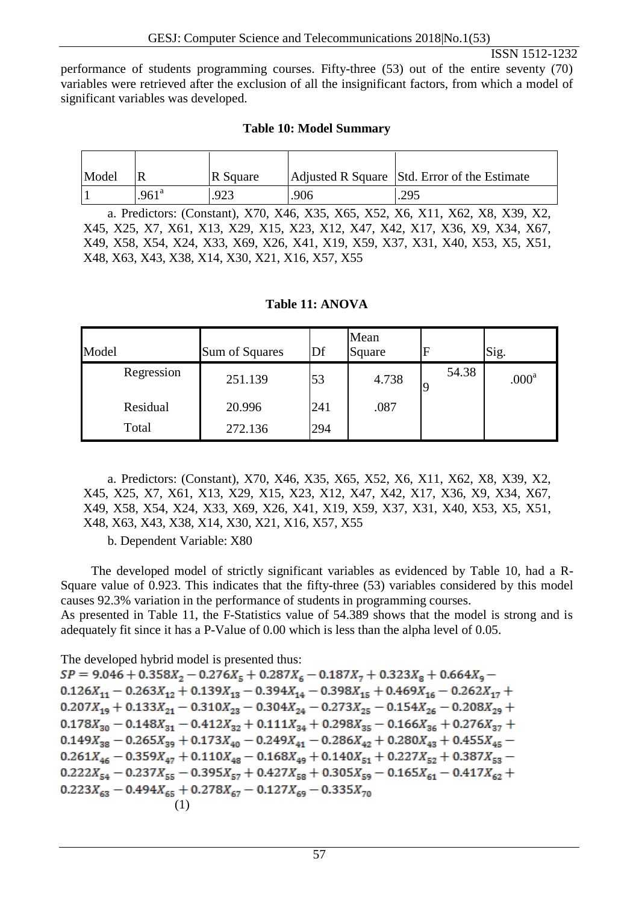performance of students programming courses. Fifty-three (53) out of the entire seventy (70) variables were retrieved after the exclusion of all the insignificant factors, from which a model of significant variables was developed.

# **Table 10: Model Summary**

| Model |                   | R Square                                         |      | Adjusted R Square Std. Error of the Estimate                                                                                                                                                                                                      |
|-------|-------------------|--------------------------------------------------|------|---------------------------------------------------------------------------------------------------------------------------------------------------------------------------------------------------------------------------------------------------|
|       | .961 <sup>a</sup> | .923                                             | .906 | .295                                                                                                                                                                                                                                              |
|       |                   | X48, X63, X43, X38, X14, X30, X21, X16, X57, X55 |      | a. Predictors: (Constant), X70, X46, X35, X65, X52, X6, X11, X62, X8, X39, X2,<br>X45, X25, X7, X61, X13, X29, X15, X23, X12, X47, X42, X17, X36, X9, X34, X67,<br>X49, X58, X54, X24, X33, X69, X26, X41, X19, X59, X37, X31, X40, X53, X5, X51, |

| Model      | Sum of Squares | Df  | Mean<br>Square | $\overline{F}$ | Sig.              |
|------------|----------------|-----|----------------|----------------|-------------------|
| Regression | 251.139        | 53  | 4.738          | 54.38<br>q     | .000 <sup>a</sup> |
| Residual   | 20.996         | 241 | .087           |                |                   |
| Total      | 272.136        | 294 |                |                |                   |

## **Table 11: ANOVA**

a. Predictors: (Constant), X70, X46, X35, X65, X52, X6, X11, X62, X8, X39, X2, X45, X25, X7, X61, X13, X29, X15, X23, X12, X47, X42, X17, X36, X9, X34, X67, X49, X58, X54, X24, X33, X69, X26, X41, X19, X59, X37, X31, X40, X53, X5, X51, X48, X63, X43, X38, X14, X30, X21, X16, X57, X55

b. Dependent Variable: X80

The developed model of strictly significant variables as evidenced by Table 10, had a R-Square value of 0.923. This indicates that the fifty-three (53) variables considered by this model causes 92.3% variation in the performance of students in programming courses. As presented in Table 11, the F-Statistics value of 54.389 shows that the model is strong and is

adequately fit since it has a P-Value of 0.00 which is less than the alpha level of 0.05.

The developed hybrid model is presented thus:

 $SP = 9.046 + 0.358X_2 - 0.276X_5 + 0.287X_6 - 0.187X_7 + 0.323X_8 + 0.664X_9 0.126X_{11} - 0.263X_{12} + 0.139X_{13} - 0.394X_{14} - 0.398X_{15} + 0.469X_{16} - 0.262X_{17} +$  $0.207X_{19} + 0.133X_{21} - 0.310X_{23} - 0.304X_{24} - 0.273X_{25} - 0.154X_{26} - 0.208X_{29} +$  $0.178X_{30} - 0.148X_{31} - 0.412X_{32} + 0.111X_{34} + 0.298X_{35} - 0.166X_{36} + 0.276X_{37} +$  $0.149X_{38} - 0.265X_{39} + 0.173X_{40} - 0.249X_{41} - 0.286X_{42} + 0.280X_{43} + 0.455X_{45} 0.261X_{46} - 0.359X_{47} + 0.110X_{48} - 0.168X_{49} + 0.140X_{51} + 0.227X_{52} + 0.387X_{53} 0.222X_{54} - 0.237X_{55} - 0.395X_{57} + 0.427X_{58} + 0.305X_{59} - 0.165X_{61} - 0.417X_{62} +$  $0.223X_{63} - 0.494X_{65} + 0.278X_{67} - 0.127X_{69} - 0.335X_{70}$ (1)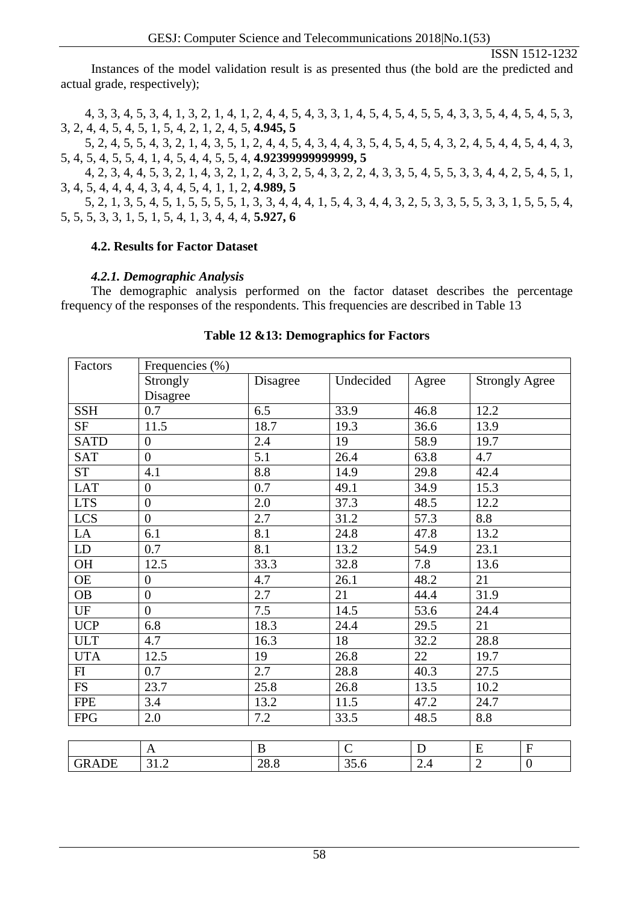Instances of the model validation result is as presented thus (the bold are the predicted and actual grade, respectively);

4, 3, 3, 4, 5, 3, 4, 1, 3, 2, 1, 4, 1, 2, 4, 4, 5, 4, 3, 3, 1, 4, 5, 4, 5, 4, 5, 5, 4, 3, 3, 5, 4, 4, 5, 4, 5, 3, 3, 2, 4, 4, 5, 4, 5, 1, 5, 4, 2, 1, 2, 4, 5, **4.945, 5**

5, 2, 4, 5, 5, 4, 3, 2, 1, 4, 3, 5, 1, 2, 4, 4, 5, 4, 3, 4, 4, 3, 5, 4, 5, 4, 5, 4, 3, 2, 4, 5, 4, 4, 5, 4, 4, 3, 5, 4, 5, 4, 5, 5, 4, 1, 4, 5, 4, 4, 5, 5, 4, **4.92399999999999, 5**

4, 2, 3, 4, 4, 5, 3, 2, 1, 4, 3, 2, 1, 2, 4, 3, 2, 5, 4, 3, 2, 2, 4, 3, 3, 5, 4, 5, 5, 3, 3, 4, 4, 2, 5, 4, 5, 1, 3, 4, 5, 4, 4, 4, 4, 3, 4, 4, 5, 4, 1, 1, 2, **4.989, 5**

5, 2, 1, 3, 5, 4, 5, 1, 5, 5, 5, 5, 1, 3, 3, 4, 4, 4, 1, 5, 4, 3, 4, 4, 3, 2, 5, 3, 3, 5, 5, 3, 3, 1, 5, 5, 5, 4, 5, 5, 5, 3, 3, 1, 5, 1, 5, 4, 1, 3, 4, 4, 4, **5.927, 6**

## **4.2. Results for Factor Dataset**

## *4.2.1. Demographic Analysis*

The demographic analysis performed on the factor dataset describes the percentage frequency of the responses of the respondents. This frequencies are described in Table 13

| Factors                | Frequencies (%)  |              |             |              |                       |                  |  |
|------------------------|------------------|--------------|-------------|--------------|-----------------------|------------------|--|
|                        | Strongly         | Disagree     | Undecided   | Agree        | <b>Strongly Agree</b> |                  |  |
|                        | Disagree         |              |             |              |                       |                  |  |
| <b>SSH</b>             | 0.7              | 6.5          | 33.9        | 46.8         | 12.2                  |                  |  |
| <b>SF</b>              | 11.5             | 18.7         | 19.3        | 36.6         | 13.9                  |                  |  |
| <b>SATD</b>            | $\overline{0}$   | 2.4          | 19          | 58.9         | 19.7                  |                  |  |
| <b>SAT</b>             | $\overline{0}$   | 5.1          | 26.4        | 63.8         | 4.7                   |                  |  |
| <b>ST</b>              | 4.1              | 8.8          | 14.9        | 29.8         | 42.4                  |                  |  |
| <b>LAT</b>             | $\boldsymbol{0}$ | 0.7          | 49.1        | 34.9         | 15.3                  |                  |  |
| <b>LTS</b>             | $\overline{0}$   | 2.0          | 37.3        | 48.5         | 12.2                  |                  |  |
| LCS                    | $\overline{0}$   | 2.7          | 31.2        | 57.3         | 8.8                   |                  |  |
| LA                     | 6.1              | 8.1          | 24.8        | 47.8         | 13.2                  |                  |  |
| LD                     | 0.7              | 8.1          | 13.2        | 54.9<br>23.1 |                       |                  |  |
| OH                     | 12.5             | 33.3         | 32.8        | 7.8          | 13.6                  |                  |  |
| <b>OE</b>              | $\boldsymbol{0}$ | 4.7          | 26.1        | 48.2         | 21                    |                  |  |
| <b>OB</b>              | $\overline{0}$   | 2.7          | 21          | 44.4         | 31.9                  |                  |  |
| $\mathbf{U}\mathbf{F}$ | $\overline{0}$   | 7.5          | 14.5        | 53.6         | 24.4                  |                  |  |
| <b>UCP</b>             | 6.8              | 18.3         | 24.4        | 29.5         | 21                    |                  |  |
| <b>ULT</b>             | 4.7              | 16.3         | 18          | 32.2         | 28.8                  |                  |  |
| <b>UTA</b>             | 12.5             | 19           | 26.8        | 22           | 19.7                  |                  |  |
| FI                     | 0.7              | 2.7          | 28.8        | 40.3         | 27.5                  |                  |  |
| <b>FS</b>              | 23.7             | 25.8         | 26.8        | 13.5         | 10.2                  |                  |  |
| <b>FPE</b>             | 3.4              | 13.2         | 11.5        | 47.2         | 24.7                  |                  |  |
| <b>FPG</b>             | 2.0              | 7.2          | 33.5        | 48.5         | 8.8                   |                  |  |
|                        |                  |              |             |              |                       |                  |  |
|                        | $\mathbf{A}$     | $\, {\bf B}$ | $\mathbf C$ | $\mathbf D$  | ${\bf E}$             | ${\bf F}$        |  |
| <b>GRADE</b>           | 31.2             | 28.8         | 35.6        | 2.4          | $\overline{2}$        | $\boldsymbol{0}$ |  |

#### **Table 12 &13: Demographics for Factors**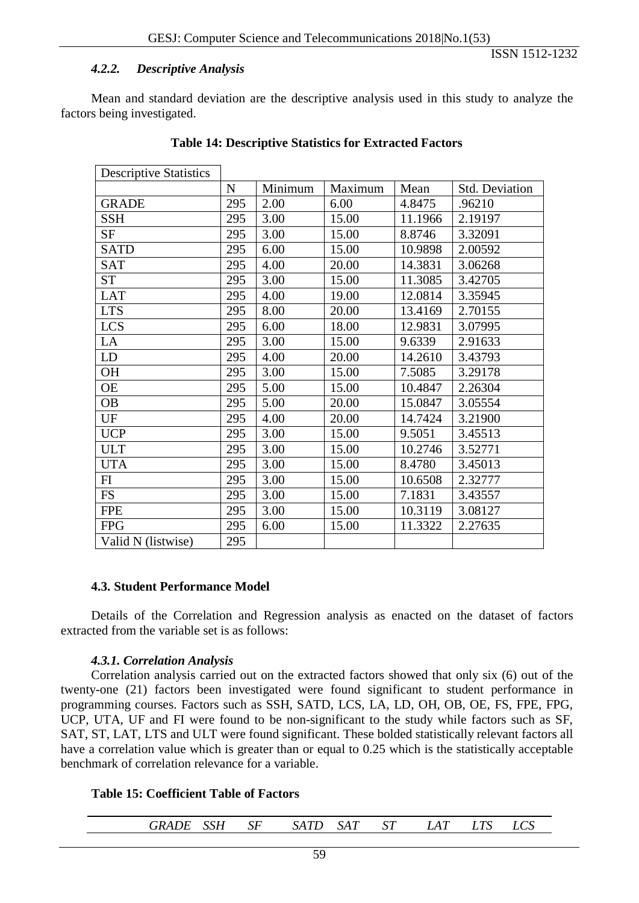#### *4.2.2. Descriptive Analysis*

ISSN 1512-1232

Mean and standard deviation are the descriptive analysis used in this study to analyze the factors being investigated.

| <b>Descriptive Statistics</b> |           |         |         |         |                |
|-------------------------------|-----------|---------|---------|---------|----------------|
|                               | ${\bf N}$ | Minimum | Maximum | Mean    | Std. Deviation |
| <b>GRADE</b>                  | 295       | 2.00    | 6.00    | 4.8475  | .96210         |
| <b>SSH</b>                    | 295       | 3.00    | 15.00   | 11.1966 | 2.19197        |
| SF                            | 295       | 3.00    | 15.00   | 8.8746  | 3.32091        |
| <b>SATD</b>                   | 295       | 6.00    | 15.00   | 10.9898 | 2.00592        |
| <b>SAT</b>                    | 295       | 4.00    | 20.00   | 14.3831 | 3.06268        |
| <b>ST</b>                     | 295       | 3.00    | 15.00   | 11.3085 | 3.42705        |
| <b>LAT</b>                    | 295       | 4.00    | 19.00   | 12.0814 | 3.35945        |
| <b>LTS</b>                    | 295       | 8.00    | 20.00   | 13.4169 | 2.70155        |
| <b>LCS</b>                    | 295       | 6.00    | 18.00   | 12.9831 | 3.07995        |
| LA                            | 295       | 3.00    | 15.00   | 9.6339  | 2.91633        |
| LD                            | 295       | 4.00    | 20.00   | 14.2610 | 3.43793        |
| <b>OH</b>                     | 295       | 3.00    | 15.00   | 7.5085  | 3.29178        |
| OE                            | 295       | 5.00    | 15.00   | 10.4847 | 2.26304        |
| <b>OB</b>                     | 295       | 5.00    | 20.00   | 15.0847 | 3.05554        |
| UF                            | 295       | 4.00    | 20.00   | 14.7424 | 3.21900        |
| <b>UCP</b>                    | 295       | 3.00    | 15.00   | 9.5051  | 3.45513        |
| <b>ULT</b>                    | 295       | 3.00    | 15.00   | 10.2746 | 3.52771        |
| <b>UTA</b>                    | 295       | 3.00    | 15.00   | 8.4780  | 3.45013        |
| FI                            | 295       | 3.00    | 15.00   | 10.6508 | 2.32777        |
| <b>FS</b>                     | 295       | 3.00    | 15.00   | 7.1831  | 3.43557        |
| <b>FPE</b>                    | 295       | 3.00    | 15.00   | 10.3119 | 3.08127        |
| <b>FPG</b>                    | 295       | 6.00    | 15.00   | 11.3322 | 2.27635        |
| Valid N (listwise)            | 295       |         |         |         |                |

#### **Table 14: Descriptive Statistics for Extracted Factors**

#### **4.3. Student Performance Model**

Details of the Correlation and Regression analysis as enacted on the dataset of factors extracted from the variable set is as follows:

#### *4.3.1. Correlation Analysis*

Correlation analysis carried out on the extracted factors showed that only six (6) out of the twenty-one (21) factors been investigated were found significant to student performance in programming courses. Factors such as SSH, SATD, LCS, LA, LD, OH, OB, OE, FS, FPE, FPG, UCP, UTA, UF and FI were found to be non-significant to the study while factors such as SF, SAT, ST, LAT, LTS and ULT were found significant. These bolded statistically relevant factors all have a correlation value which is greater than or equal to 0.25 which is the statistically acceptable benchmark of correlation relevance for a variable.

#### **Table 15: Coefficient Table of Factors**

| CCTI<br>$\alpha \pi$<br>$\sim$ $\sim$<br>T <sup>0</sup><br>$\pi r$<br>$. \cdot R$<br>$\mathbf{A}$<br>SΡ<br>$\Delta A I$<br>А<br><i>DAI D</i><br>דזממ<br>und<br>◡▴<br><u>uu</u> w | - - -<br>LU. |  |
|----------------------------------------------------------------------------------------------------------------------------------------------------------------------------------|--------------|--|
|----------------------------------------------------------------------------------------------------------------------------------------------------------------------------------|--------------|--|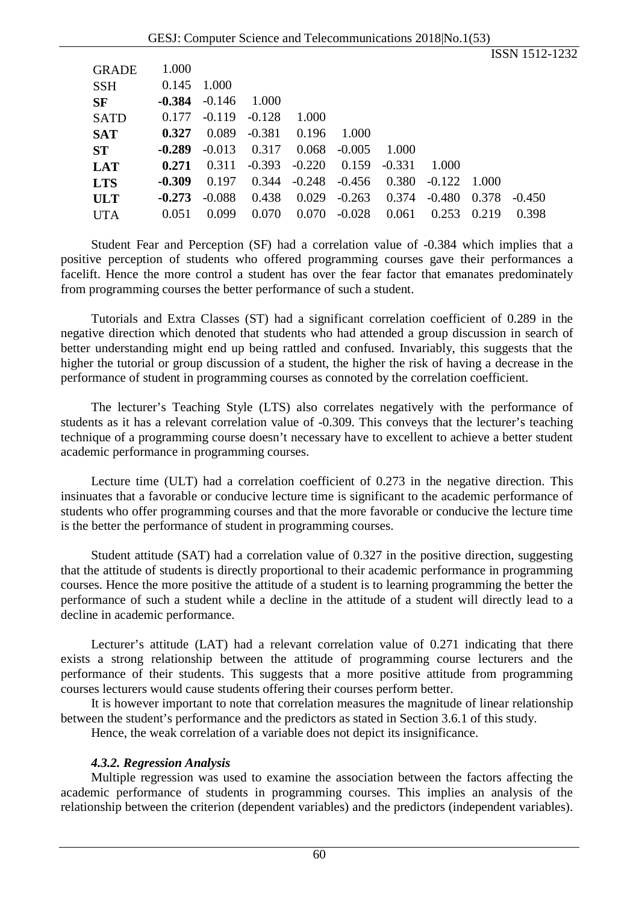|              |          |          |          |          |          |          |          |       | ISSN 1512-1232 |  |
|--------------|----------|----------|----------|----------|----------|----------|----------|-------|----------------|--|
| <b>GRADE</b> | 1.000    |          |          |          |          |          |          |       |                |  |
| <b>SSH</b>   | 0.145    | 1.000    |          |          |          |          |          |       |                |  |
| <b>SF</b>    | -0.384   | $-0.146$ | 1.000    |          |          |          |          |       |                |  |
| <b>SATD</b>  | 0.177    | $-0.119$ | $-0.128$ | 1.000    |          |          |          |       |                |  |
| <b>SAT</b>   | 0.327    | 0.089    | $-0.381$ | 0.196    | 1.000    |          |          |       |                |  |
| ST           | $-0.289$ | $-0.013$ | 0.317    | 0.068    | $-0.005$ | 1.000    |          |       |                |  |
| <b>LAT</b>   | 0.271    | 0.311    | $-0.393$ | $-0.220$ | 0.159    | $-0.331$ | 1.000    |       |                |  |
| <b>LTS</b>   | $-0.309$ | 0.197    | 0.344    | $-0.248$ | $-0.456$ | 0.380    | $-0.122$ | 1.000 |                |  |
| <b>ULT</b>   | $-0.273$ | $-0.088$ | 0.438    | 0.029    | $-0.263$ | 0.374    | $-0.480$ | 0.378 | $-0.450$       |  |
| <b>UTA</b>   | 0.051    | 0.099    | 0.070    | 0.070    | $-0.028$ | 0.061    | 0.253    | 0.219 | 0.398          |  |
|              |          |          |          |          |          |          |          |       |                |  |

Student Fear and Perception (SF) had a correlation value of -0.384 which implies that a positive perception of students who offered programming courses gave their performances a facelift. Hence the more control a student has over the fear factor that emanates predominately from programming courses the better performance of such a student.

Tutorials and Extra Classes (ST) had a significant correlation coefficient of 0.289 in the negative direction which denoted that students who had attended a group discussion in search of better understanding might end up being rattled and confused. Invariably, this suggests that the higher the tutorial or group discussion of a student, the higher the risk of having a decrease in the performance of student in programming courses as connoted by the correlation coefficient.

The lecturer's Teaching Style (LTS) also correlates negatively with the performance of students as it has a relevant correlation value of -0.309. This conveys that the lecturer's teaching technique of a programming course doesn't necessary have to excellent to achieve a better student academic performance in programming courses.

Lecture time (ULT) had a correlation coefficient of 0.273 in the negative direction. This insinuates that a favorable or conducive lecture time is significant to the academic performance of students who offer programming courses and that the more favorable or conducive the lecture time is the better the performance of student in programming courses.

Student attitude (SAT) had a correlation value of 0.327 in the positive direction, suggesting that the attitude of students is directly proportional to their academic performance in programming courses. Hence the more positive the attitude of a student is to learning programming the better the performance of such a student while a decline in the attitude of a student will directly lead to a decline in academic performance.

Lecturer's attitude (LAT) had a relevant correlation value of 0.271 indicating that there exists a strong relationship between the attitude of programming course lecturers and the performance of their students. This suggests that a more positive attitude from programming courses lecturers would cause students offering their courses perform better.

It is however important to note that correlation measures the magnitude of linear relationship between the student's performance and the predictors as stated in Section 3.6.1 of this study.

Hence, the weak correlation of a variable does not depict its insignificance.

#### *4.3.2. Regression Analysis*

Multiple regression was used to examine the association between the factors affecting the academic performance of students in programming courses. This implies an analysis of the relationship between the criterion (dependent variables) and the predictors (independent variables).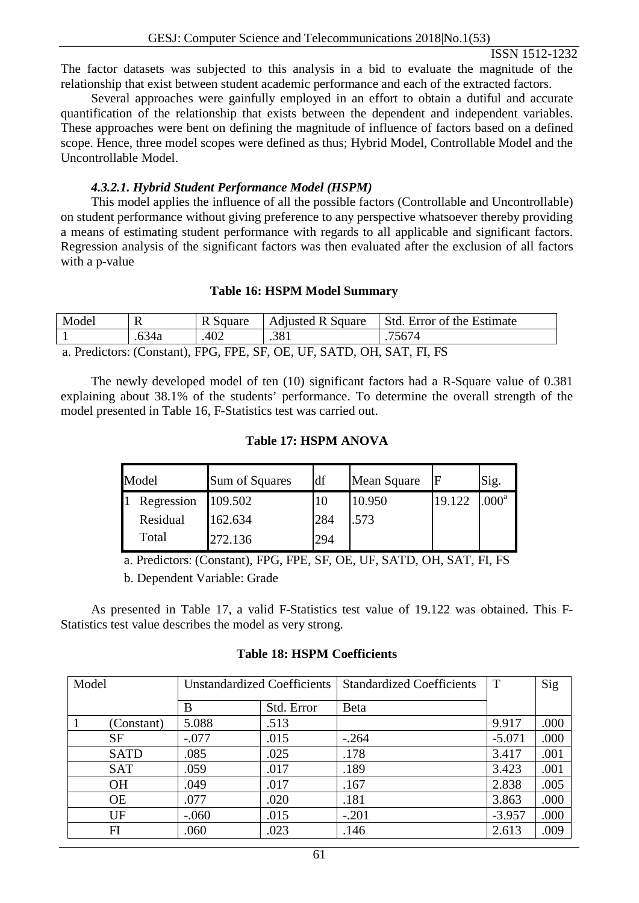The factor datasets was subjected to this analysis in a bid to evaluate the magnitude of the relationship that exist between student academic performance and each of the extracted factors.

Several approaches were gainfully employed in an effort to obtain a dutiful and accurate quantification of the relationship that exists between the dependent and independent variables. These approaches were bent on defining the magnitude of influence of factors based on a defined scope. Hence, three model scopes were defined as thus; Hybrid Model, Controllable Model and the Uncontrollable Model.

#### *4.3.2.1. Hybrid Student Performance Model (HSPM)*

This model applies the influence of all the possible factors (Controllable and Uncontrollable) on student performance without giving preference to any perspective whatsoever thereby providing a means of estimating student performance with regards to all applicable and significant factors. Regression analysis of the significant factors was then evaluated after the exclusion of all factors with a p-value

#### **Table 16: HSPM Model Summary**

| Model                                                           |       | D<br>K Square | <b>Adjusted R Square</b> | Std. Error of the Estimate |  |  |  |
|-----------------------------------------------------------------|-------|---------------|--------------------------|----------------------------|--|--|--|
|                                                                 | .634a | 402           | .381                     | 75674                      |  |  |  |
| FDC FDF AF AF UF GATD AU GAT FLFG<br>$\mathbf{D}$ $\mathbf{1}'$ |       |               |                          |                            |  |  |  |

a. Predictors: (Constant), FPG, FPE, SF, OE, UF, SATD, OH, SAT, FI, FS

The newly developed model of ten (10) significant factors had a R-Square value of 0.381 explaining about 38.1% of the students' performance. To determine the overall strength of the model presented in Table 16, F-Statistics test was carried out.

#### **Table 17: HSPM ANOVA**

| Model      | Sum of Squares | df  | Mean Square | F      | Sig.              |
|------------|----------------|-----|-------------|--------|-------------------|
| Regression | 109.502        | 10  | 10.950      | 19.122 | .000 <sup>a</sup> |
| Residual   | 162.634        | 284 | .573        |        |                   |
| Total      | 272.136        | 294 |             |        |                   |

a. Predictors: (Constant), FPG, FPE, SF, OE, UF, SATD, OH, SAT, FI, FS

b. Dependent Variable: Grade

As presented in Table 17, a valid F-Statistics test value of 19.122 was obtained. This F-Statistics test value describes the model as very strong.

#### **Table 18: HSPM Coefficients**

| Model       | <b>Unstandardized Coefficients</b> |            | <b>Standardized Coefficients</b> | T        | Sig  |
|-------------|------------------------------------|------------|----------------------------------|----------|------|
|             | B                                  | Std. Error | <b>Beta</b>                      |          |      |
| (Constant)  | 5.088                              | .513       |                                  | 9.917    | .000 |
| <b>SF</b>   | $-.077$                            | .015       | $-.264$                          | $-5.071$ | .000 |
| <b>SATD</b> | .085                               | .025       | .178                             | 3.417    | .001 |
| <b>SAT</b>  | .059                               | .017       | .189                             | 3.423    | .001 |
| <b>OH</b>   | .049                               | .017       | .167                             | 2.838    | .005 |
| <b>OE</b>   | .077                               | .020       | .181                             | 3.863    | .000 |
| UF          | $-.060$                            | .015       | $-.201$                          | $-3.957$ | .000 |
| FI          | .060                               | .023       | .146                             | 2.613    | .009 |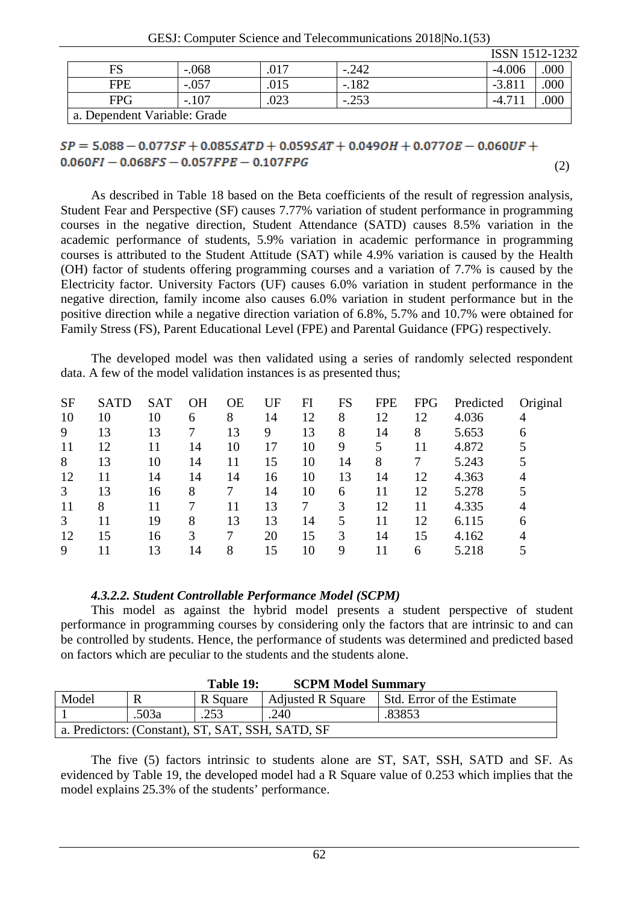GESJ: Computer Science and Telecommunications 2018|No.1(53)

|                              |         |      |         | ISSN 1512-1232 |      |  |  |  |
|------------------------------|---------|------|---------|----------------|------|--|--|--|
| FS                           | $-.068$ | .017 | -.242   | $-4.006$       | .000 |  |  |  |
| <b>FPE</b>                   | $-.057$ | .015 | $-.182$ | $-3.81$        | .000 |  |  |  |
| <b>FPG</b>                   | $-.107$ | .023 | $-.253$ | $-4.7$         | 000  |  |  |  |
| a. Dependent Variable: Grade |         |      |         |                |      |  |  |  |

# $SP = 5.088 - 0.077SF + 0.085SATD + 0.059SAT + 0.049OH + 0.077OE - 0.060UF +$  $0.060FI - 0.068FS - 0.057FPE - 0.107FPG$

(2)

As described in Table 18 based on the Beta coefficients of the result of regression analysis, Student Fear and Perspective (SF) causes 7.77% variation of student performance in programming courses in the negative direction, Student Attendance (SATD) causes 8.5% variation in the academic performance of students, 5.9% variation in academic performance in programming courses is attributed to the Student Attitude (SAT) while 4.9% variation is caused by the Health (OH) factor of students offering programming courses and a variation of 7.7% is caused by the Electricity factor. University Factors (UF) causes 6.0% variation in student performance in the negative direction, family income also causes 6.0% variation in student performance but in the positive direction while a negative direction variation of 6.8%, 5.7% and 10.7% were obtained for Family Stress (FS), Parent Educational Level (FPE) and Parental Guidance (FPG) respectively.

The developed model was then validated using a series of randomly selected respondent data. A few of the model validation instances is as presented thus;

| <b>SF</b> | <b>SATD</b> | <b>SAT</b> | ΟH | <b>OE</b> | UF | FI | FS | <b>FPE</b> | <b>FPG</b> | Predicted | Original |
|-----------|-------------|------------|----|-----------|----|----|----|------------|------------|-----------|----------|
| 10        | 10          | 10         | 6  | 8         | 14 | 12 | 8  | 12         | 12         | 4.036     | 4        |
| 9         | 13          | 13         |    | 13        | 9  | 13 | 8  | 14         | 8          | 5.653     | 6        |
| 11        | 12          | 11         | 14 | 10        | 17 | 10 | 9  | 5          | 11         | 4.872     | 5        |
| 8         | 13          | 10         | 14 |           | 15 | 10 | 14 | 8          | 7          | 5.243     |          |
| 12        | 11          | 14         | 14 | 14        | 16 | 10 | 13 | 14         | 12         | 4.363     | 4        |
| 3         | 13          | 16         | 8  |           | 14 | 10 | 6  | 11         | 12         | 5.278     |          |
| 11        | 8           |            |    |           | 13 | 7  | 3  | 12         |            | 4.335     |          |
| 3         |             | 19         | 8  | 13        | 13 | 14 | 5  | 11         | 12         | 6.115     | 6        |
| 12        | 15          | 16         | 3  | 7         | 20 | 15 | 3  | 14         | 15         | 4.162     |          |
| 9         |             | 13         | 14 | 8         | 15 | 10 | 9  | 11         | 6          | 5.218     |          |

## *4.3.2.2. Student Controllable Performance Model (SCPM)*

This model as against the hybrid model presents a student perspective of student performance in programming courses by considering only the factors that are intrinsic to and can be controlled by students. Hence, the performance of students was determined and predicted based on factors which are peculiar to the students and the students alone.

|                                                   |       | Table 19: | <b>SCPM Model Summary</b> |                            |  |  |  |  |
|---------------------------------------------------|-------|-----------|---------------------------|----------------------------|--|--|--|--|
| Model                                             | D     | R Square  | <b>Adjusted R Square</b>  | Std. Error of the Estimate |  |  |  |  |
|                                                   | .503a | .253      | .240                      | .83853                     |  |  |  |  |
| a. Predictors: (Constant), ST, SAT, SSH, SATD, SF |       |           |                           |                            |  |  |  |  |

#### The five (5) factors intrinsic to students alone are ST, SAT, SSH, SATD and SF. As evidenced by Table 19, the developed model had a R Square value of 0.253 which implies that the model explains 25.3% of the students' performance.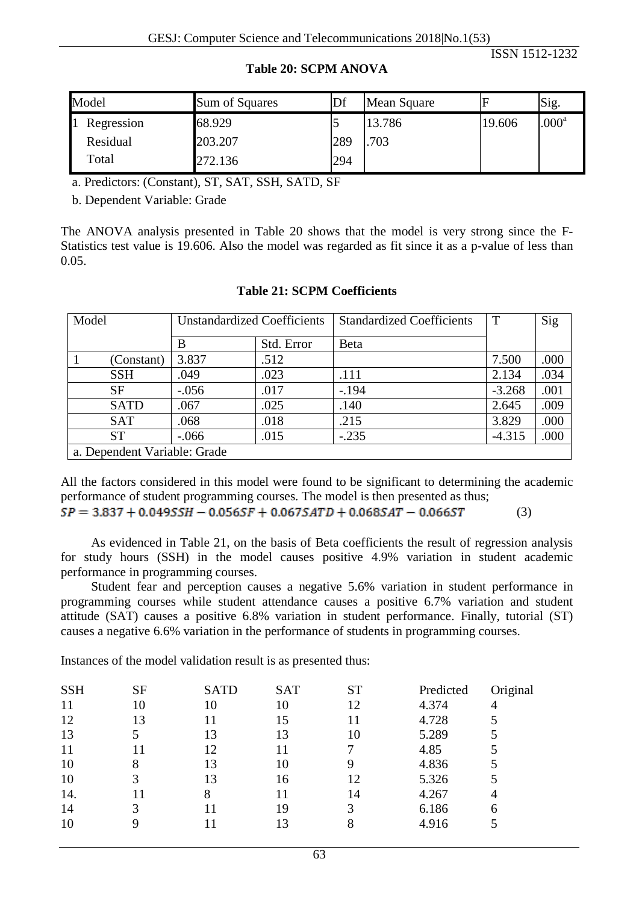| Model      | Sum of Squares | Df  | Mean Square |        | Sig.              |
|------------|----------------|-----|-------------|--------|-------------------|
| Regression | 68.929         |     | 13.786      | 19.606 | .000 <sup>a</sup> |
| Residual   | 203.207        | 289 | .703        |        |                   |
| Total      | 272.136        | 294 |             |        |                   |

#### **Table 20: SCPM ANOVA**

a. Predictors: (Constant), ST, SAT, SSH, SATD, SF

b. Dependent Variable: Grade

The ANOVA analysis presented in Table 20 shows that the model is very strong since the F-Statistics test value is 19.606. Also the model was regarded as fit since it as a p-value of less than 0.05.

| Model |                              | <b>Unstandardized Coefficients</b> |            | <b>Standardized Coefficients</b> | T        | Sig  |
|-------|------------------------------|------------------------------------|------------|----------------------------------|----------|------|
|       |                              | В                                  | Std. Error | <b>Beta</b>                      |          |      |
|       | (Constant)                   | 3.837                              | .512       |                                  | 7.500    | .000 |
|       | <b>SSH</b>                   | .049                               | .023       | .111                             | 2.134    | .034 |
|       | <b>SF</b>                    | $-.056$                            | .017       | $-194$                           | $-3.268$ | .001 |
|       | <b>SATD</b>                  | .067                               | .025       | .140                             | 2.645    | .009 |
|       | <b>SAT</b>                   | .068                               | .018       | .215                             | 3.829    | .000 |
|       | <b>ST</b>                    | $-.066$                            | .015       | $-.235$                          | $-4.315$ | .000 |
|       | a. Dependent Variable: Grade |                                    |            |                                  |          |      |

#### **Table 21: SCPM Coefficients**

All the factors considered in this model were found to be significant to determining the academic performance of student programming courses. The model is then presented as thus;  $SP = 3.837 + 0.049SSH - 0.056SF + 0.067SATD + 0.068SAT - 0.066ST$ (3)

As evidenced in Table 21, on the basis of Beta coefficients the result of regression analysis for study hours (SSH) in the model causes positive 4.9% variation in student academic performance in programming courses.

Student fear and perception causes a negative 5.6% variation in student performance in programming courses while student attendance causes a positive 6.7% variation and student attitude (SAT) causes a positive 6.8% variation in student performance. Finally, tutorial (ST) causes a negative 6.6% variation in the performance of students in programming courses.

Instances of the model validation result is as presented thus:

| <b>SSH</b> | SF | <b>SATD</b> | <b>SAT</b> | <b>ST</b> | Predicted | Original |
|------------|----|-------------|------------|-----------|-----------|----------|
| 11         | 10 | 10          | 10         | 12        | 4.374     |          |
| 12         | 13 |             | 15         |           | 4.728     |          |
| 13         |    | 13          | 13         | 10        | 5.289     |          |
| 11         | 11 | 12          |            |           | 4.85      |          |
| 10         |    | 13          | 10         | 9         | 4.836     |          |
| 10         |    | 13          | 16         | 12        | 5.326     |          |
| 14.        | 11 | 8           |            | 14        | 4.267     |          |
| 14         |    |             | 19         |           | 6.186     | 6        |
| 10         |    |             |            |           | 4.916     |          |
|            |    |             |            |           |           |          |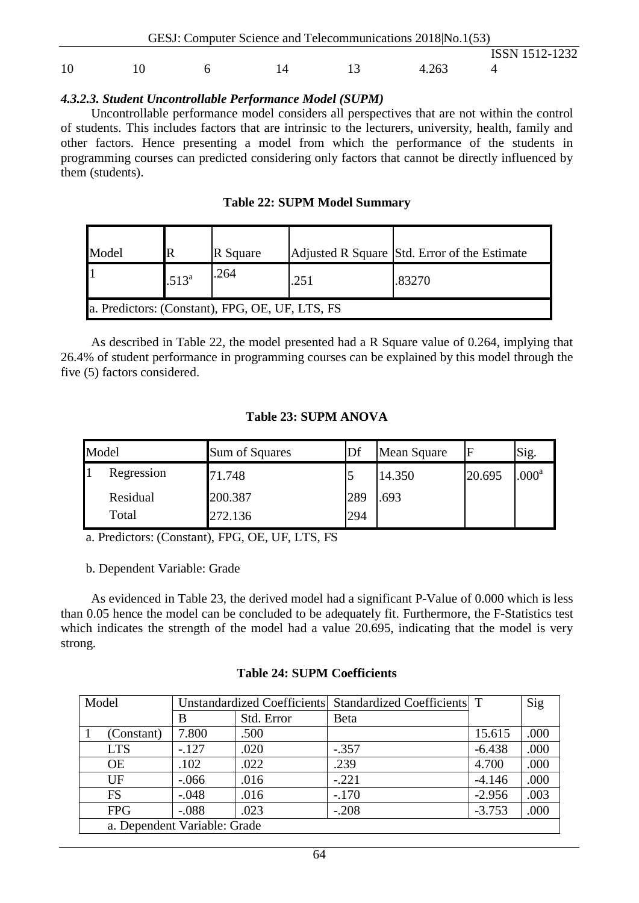|    | GESJ: Computer Science and Telecommunications 2018 No.1(53) |  |       |                |  |
|----|-------------------------------------------------------------|--|-------|----------------|--|
|    |                                                             |  |       | ISSN 1512-1232 |  |
| 10 |                                                             |  | 4.263 |                |  |

#### *4.3.2.3. Student Uncontrollable Performance Model (SUPM)*

Uncontrollable performance model considers all perspectives that are not within the control of students. This includes factors that are intrinsic to the lecturers, university, health, family and other factors. Hence presenting a model from which the performance of the students in programming courses can predicted considering only factors that cannot be directly influenced by them (students).

|  |  |  | <b>Table 22: SUPM Model Summary</b> |
|--|--|--|-------------------------------------|
|--|--|--|-------------------------------------|

| Model |                                                 | R Square |      | Adjusted R Square Std. Error of the Estimate |  |  |  |  |
|-------|-------------------------------------------------|----------|------|----------------------------------------------|--|--|--|--|
|       | $.513^{a}$                                      | .264     | .251 | .83270                                       |  |  |  |  |
|       | a. Predictors: (Constant), FPG, OE, UF, LTS, FS |          |      |                                              |  |  |  |  |

As described in Table 22, the model presented had a R Square value of 0.264, implying that 26.4% of student performance in programming courses can be explained by this model through the five (5) factors considered.

#### **Table 23: SUPM ANOVA**

| Model |            | Sum of Squares |     | Mean Square |        | Sig.              |
|-------|------------|----------------|-----|-------------|--------|-------------------|
|       | Regression | 71.748         | J   | 14.350      | 20.695 | .000 <sup>a</sup> |
|       | Residual   | 200.387        | 289 | .693        |        |                   |
|       | Total      | 272.136        | 294 |             |        |                   |

a. Predictors: (Constant), FPG, OE, UF, LTS, FS

b. Dependent Variable: Grade

As evidenced in Table 23, the derived model had a significant P-Value of 0.000 which is less than 0.05 hence the model can be concluded to be adequately fit. Furthermore, the F-Statistics test which indicates the strength of the model had a value 20.695, indicating that the model is very strong.

#### **Table 24: SUPM Coefficients**

| Model                        | Unstandardized Coefficients Standardized Coefficients T |            |              |          | Sig  |
|------------------------------|---------------------------------------------------------|------------|--------------|----------|------|
|                              | В                                                       | Std. Error | <b>B</b> eta |          |      |
| (Constant)                   | 7.800                                                   | .500       |              | 15.615   | .000 |
| <b>LTS</b>                   | $-.127$                                                 | .020       | $-.357$      | $-6.438$ | .000 |
| <b>OE</b>                    | .102                                                    | .022       | .239         | 4.700    | .000 |
| UF                           | $-.066$                                                 | .016       | $-.221$      | $-4.146$ | .000 |
| <b>FS</b>                    | $-.048$                                                 | .016       | $-.170$      | $-2.956$ | .003 |
| <b>FPG</b>                   | $-.088$                                                 | .023       | $-.208$      | $-3.753$ | .000 |
| a. Dependent Variable: Grade |                                                         |            |              |          |      |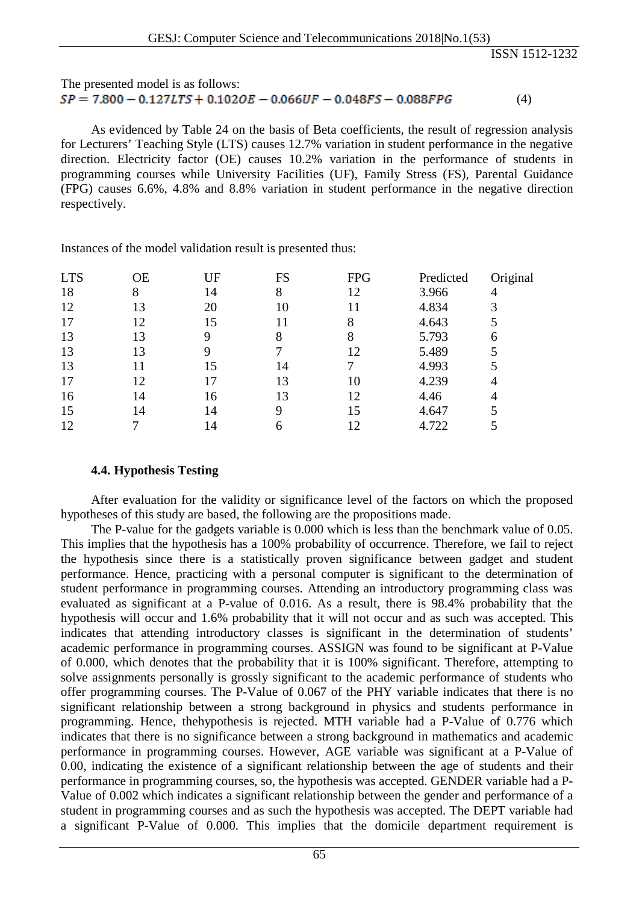#### The presented model is as follows:  $SP = 7.800 - 0.127LTS + 0.102OE - 0.066UF - 0.048FS - 0.088FPG$ (4)

As evidenced by Table 24 on the basis of Beta coefficients, the result of regression analysis for Lecturers' Teaching Style (LTS) causes 12.7% variation in student performance in the negative direction. Electricity factor (OE) causes 10.2% variation in the performance of students in programming courses while University Facilities (UF), Family Stress (FS), Parental Guidance (FPG) causes 6.6%, 4.8% and 8.8% variation in student performance in the negative direction respectively.

Instances of the model validation result is presented thus:

| <b>LTS</b> | ОE | UF  | FS | <b>FPG</b> | Predicted | Original |
|------------|----|-----|----|------------|-----------|----------|
| 18         | 8  | 14  | 8  | 12         | 3.966     |          |
| 12         | 13 | 20  |    |            | 4.834     |          |
| 17         | 12 | 15  |    | 8          | 4.643     |          |
| 13         | 13 |     | 8  |            | 5.793     | 6        |
| 13         | 13 |     |    | 12         | 5.489     |          |
| 13         | 11 | 15  | 14 |            | 4.993     |          |
| 17         | 12 |     | 13 | 10         | 4.239     |          |
| 16         | 14 | 16  | 13 | 12         | 4.46      |          |
| 15         | 14 | 14  | 9  | 15         | 4.647     |          |
| 12         |    | l 4 | 6  | 12         | 4.722     |          |
|            |    |     |    |            |           |          |

#### **4.4. Hypothesis Testing**

After evaluation for the validity or significance level of the factors on which the proposed hypotheses of this study are based, the following are the propositions made.

The P-value for the gadgets variable is 0.000 which is less than the benchmark value of 0.05. This implies that the hypothesis has a 100% probability of occurrence. Therefore, we fail to reject the hypothesis since there is a statistically proven significance between gadget and student performance. Hence, practicing with a personal computer is significant to the determination of student performance in programming courses. Attending an introductory programming class was evaluated as significant at a P-value of 0.016. As a result, there is 98.4% probability that the hypothesis will occur and 1.6% probability that it will not occur and as such was accepted. This indicates that attending introductory classes is significant in the determination of students' academic performance in programming courses. ASSIGN was found to be significant at P-Value of 0.000, which denotes that the probability that it is 100% significant. Therefore, attempting to solve assignments personally is grossly significant to the academic performance of students who offer programming courses. The P-Value of 0.067 of the PHY variable indicates that there is no significant relationship between a strong background in physics and students performance in programming. Hence, thehypothesis is rejected. MTH variable had a P-Value of 0.776 which indicates that there is no significance between a strong background in mathematics and academic performance in programming courses. However, AGE variable was significant at a P-Value of 0.00, indicating the existence of a significant relationship between the age of students and their performance in programming courses, so, the hypothesis was accepted. GENDER variable had a P-Value of 0.002 which indicates a significant relationship between the gender and performance of a student in programming courses and as such the hypothesis was accepted. The DEPT variable had a significant P-Value of 0.000. This implies that the domicile department requirement is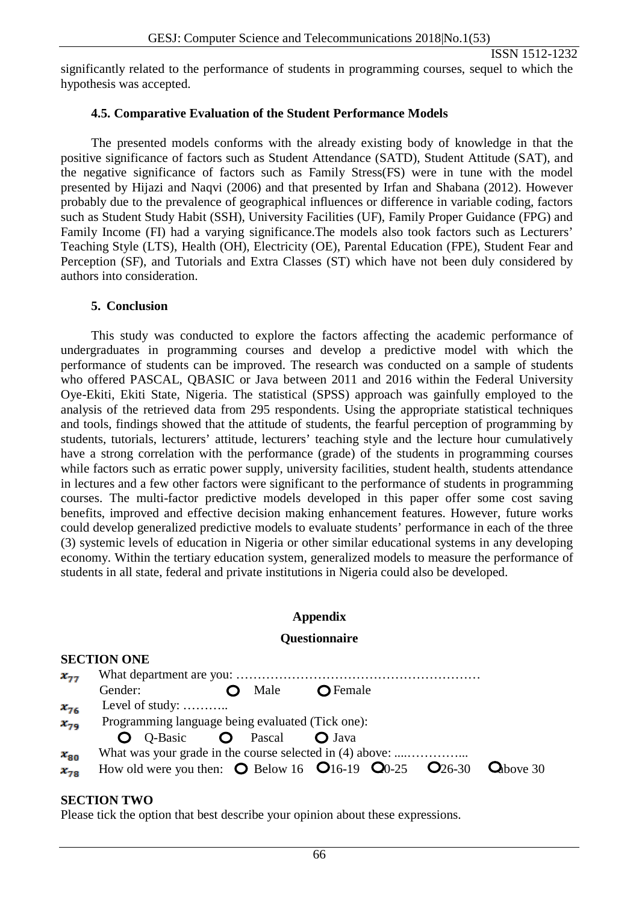significantly related to the performance of students in programming courses, sequel to which the hypothesis was accepted.

#### **4.5. Comparative Evaluation of the Student Performance Models**

The presented models conforms with the already existing body of knowledge in that the positive significance of factors such as Student Attendance (SATD), Student Attitude (SAT), and the negative significance of factors such as Family Stress(FS) were in tune with the model presented by Hijazi and Naqvi (2006) and that presented by Irfan and Shabana (2012). However probably due to the prevalence of geographical influences or difference in variable coding, factors such as Student Study Habit (SSH), University Facilities (UF), Family Proper Guidance (FPG) and Family Income (FI) had a varying significance.The models also took factors such as Lecturers' Teaching Style (LTS), Health (OH), Electricity (OE), Parental Education (FPE), Student Fear and Perception (SF), and Tutorials and Extra Classes (ST) which have not been duly considered by authors into consideration.

#### **5. Conclusion**

This study was conducted to explore the factors affecting the academic performance of undergraduates in programming courses and develop a predictive model with which the performance of students can be improved. The research was conducted on a sample of students who offered PASCAL, QBASIC or Java between 2011 and 2016 within the Federal University Oye-Ekiti, Ekiti State, Nigeria. The statistical (SPSS) approach was gainfully employed to the analysis of the retrieved data from 295 respondents. Using the appropriate statistical techniques and tools, findings showed that the attitude of students, the fearful perception of programming by students, tutorials, lecturers' attitude, lecturers' teaching style and the lecture hour cumulatively have a strong correlation with the performance (grade) of the students in programming courses while factors such as erratic power supply, university facilities, student health, students attendance in lectures and a few other factors were significant to the performance of students in programming courses. The multi-factor predictive models developed in this paper offer some cost saving benefits, improved and effective decision making enhancement features. However, future works could develop generalized predictive models to evaluate students' performance in each of the three (3) systemic levels of education in Nigeria or other similar educational systems in any developing economy. Within the tertiary education system, generalized models to measure the performance of students in all state, federal and private institutions in Nigeria could also be developed.

#### **Appendix**

#### **Questionnaire**

|          | <b>SECTION ONE</b>                                                                                           |      |                   |  |  |
|----------|--------------------------------------------------------------------------------------------------------------|------|-------------------|--|--|
| $X_{TT}$ |                                                                                                              |      |                   |  |  |
|          | Gender:                                                                                                      | Male | $\bigcirc$ Female |  |  |
| $x_{76}$ | Level of study:                                                                                              |      |                   |  |  |
| $x_{79}$ | Programming language being evaluated (Tick one):                                                             |      |                   |  |  |
|          | O Q-Basic O Pascal O Java                                                                                    |      |                   |  |  |
| $x_{80}$ | What was your grade in the course selected in (4) above:                                                     |      |                   |  |  |
| $x_{78}$ | How old were you then: $\bullet$ Below 16 $\bullet$ 16-19 $\bullet$ 00-25 $\bullet$ 26-30 $\bullet$ above 30 |      |                   |  |  |

#### **SECTION TWO**

**SECTION ONE**

Please tick the option that best describe your opinion about these expressions.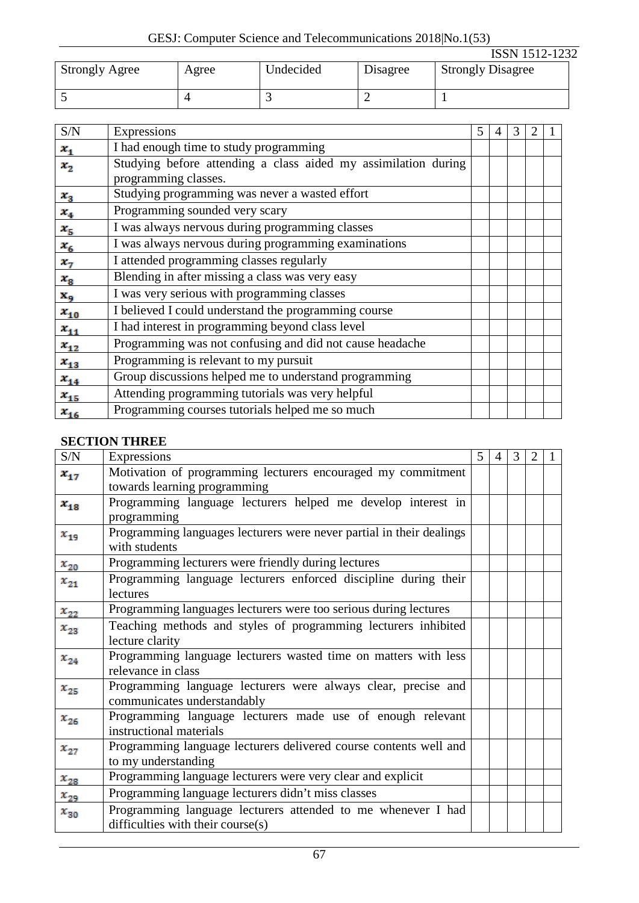GESJ: Computer Science and Telecommunications 2018|No.1(53)

|                       |       |                          |          | <b>ISSN 1512-1232</b>    |
|-----------------------|-------|--------------------------|----------|--------------------------|
| <b>Strongly Agree</b> | Agree | Undecided                | Disagree | <b>Strongly Disagree</b> |
|                       |       | $\overline{\phantom{0}}$ |          |                          |

| S/N                        | Expressions                                                    | 5 | 4 | 3 |  |
|----------------------------|----------------------------------------------------------------|---|---|---|--|
| $\mathbf{x}_{\mathbf{q}}$  | I had enough time to study programming                         |   |   |   |  |
| $x_{2}$                    | Studying before attending a class aided my assimilation during |   |   |   |  |
|                            | programming classes.                                           |   |   |   |  |
| $x_{3}$                    | Studying programming was never a wasted effort                 |   |   |   |  |
| $\mathbf{x}_4$             | Programming sounded very scary                                 |   |   |   |  |
| $\mathbf{x}_{\mathbf{5}}$  | I was always nervous during programming classes                |   |   |   |  |
| $x_{6}$                    | I was always nervous during programming examinations           |   |   |   |  |
| $\mathbf{x}_{\mathcal{T}}$ | I attended programming classes regularly                       |   |   |   |  |
| $\boldsymbol{x_3}$         | Blending in after missing a class was very easy                |   |   |   |  |
| x <sub>9</sub>             | I was very serious with programming classes                    |   |   |   |  |
| $x_{10}$                   | I believed I could understand the programming course           |   |   |   |  |
| $x_{11}$                   | I had interest in programming beyond class level               |   |   |   |  |
| $x_{12}$                   | Programming was not confusing and did not cause headache       |   |   |   |  |
| $x_{13}$                   | Programming is relevant to my pursuit                          |   |   |   |  |
| $x_{14}$                   | Group discussions helped me to understand programming          |   |   |   |  |
| $x_{15}$                   | Attending programming tutorials was very helpful               |   |   |   |  |
| $x_{16}$                   | Programming courses tutorials helped me so much                |   |   |   |  |

# **SECTION THREE**

| S/N      | Expressions                                                          | 5 | $\overline{4}$ | 3 | $\overline{2}$ |  |
|----------|----------------------------------------------------------------------|---|----------------|---|----------------|--|
| $x_{17}$ | Motivation of programming lecturers encouraged my commitment         |   |                |   |                |  |
|          | towards learning programming                                         |   |                |   |                |  |
| $x_{18}$ | Programming language lecturers helped me develop interest in         |   |                |   |                |  |
|          | programming                                                          |   |                |   |                |  |
| $x_{19}$ | Programming languages lecturers were never partial in their dealings |   |                |   |                |  |
|          | with students                                                        |   |                |   |                |  |
| $x_{20}$ | Programming lecturers were friendly during lectures                  |   |                |   |                |  |
| $x_{21}$ | Programming language lecturers enforced discipline during their      |   |                |   |                |  |
|          | lectures                                                             |   |                |   |                |  |
| $x_{22}$ | Programming languages lecturers were too serious during lectures     |   |                |   |                |  |
| $x_{23}$ | Teaching methods and styles of programming lecturers inhibited       |   |                |   |                |  |
|          | lecture clarity                                                      |   |                |   |                |  |
| $x_{24}$ | Programming language lecturers wasted time on matters with less      |   |                |   |                |  |
|          | relevance in class                                                   |   |                |   |                |  |
| $x_{25}$ | Programming language lecturers were always clear, precise and        |   |                |   |                |  |
|          | communicates understandably                                          |   |                |   |                |  |
| $x_{26}$ | Programming language lecturers made use of enough relevant           |   |                |   |                |  |
|          | instructional materials                                              |   |                |   |                |  |
| $x_{27}$ | Programming language lecturers delivered course contents well and    |   |                |   |                |  |
|          | to my understanding                                                  |   |                |   |                |  |
| $x_{28}$ | Programming language lecturers were very clear and explicit          |   |                |   |                |  |
| $x_{29}$ | Programming language lecturers didn't miss classes                   |   |                |   |                |  |
| $x_{30}$ | Programming language lecturers attended to me whenever I had         |   |                |   |                |  |
|          | difficulties with their course(s)                                    |   |                |   |                |  |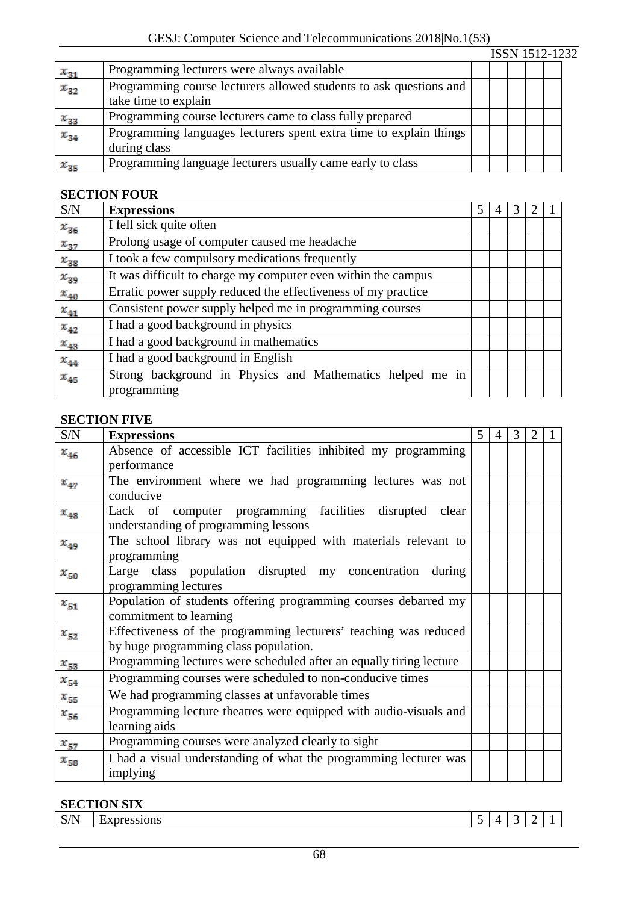|                         |                                                                    |  |  | ISSN 1512-1232 |
|-------------------------|--------------------------------------------------------------------|--|--|----------------|
| $x_{31}$                | Programming lecturers were always available                        |  |  |                |
| $x_{32}$                | Programming course lecturers allowed students to ask questions and |  |  |                |
|                         | take time to explain                                               |  |  |                |
|                         | Programming course lecturers came to class fully prepared          |  |  |                |
| $\frac{x_{33}}{x_{34}}$ | Programming languages lecturers spent extra time to explain things |  |  |                |
|                         | during class                                                       |  |  |                |
| $x_{35}$                | Programming language lecturers usually came early to class         |  |  |                |

## **SECTION FOUR**

| S/N                     | <b>Expressions</b>                                            | 5 | 3 |  |
|-------------------------|---------------------------------------------------------------|---|---|--|
| $x_{36}$                | I fell sick quite often                                       |   |   |  |
| $\boldsymbol{x_{37}}$   | Prolong usage of computer caused me headache                  |   |   |  |
| $x_{38}$                | I took a few compulsory medications frequently                |   |   |  |
| $x_{39}$                | It was difficult to charge my computer even within the campus |   |   |  |
|                         | Erratic power supply reduced the effectiveness of my practice |   |   |  |
| $\frac{x_{40}}{x_{41}}$ | Consistent power supply helped me in programming courses      |   |   |  |
| $x_{42}$                | I had a good background in physics                            |   |   |  |
| $x_{43}$                | I had a good background in mathematics                        |   |   |  |
| $\mathbf{x}_{44}$       | I had a good background in English                            |   |   |  |
| $x_{45}$                | Strong background in Physics and Mathematics helped me in     |   |   |  |
|                         | programming                                                   |   |   |  |

## **SECTION FIVE**

| S/N      | <b>Expressions</b>                                                  | 5 | $\overline{4}$ | 3 | 2 | 1 |
|----------|---------------------------------------------------------------------|---|----------------|---|---|---|
| $x_{46}$ | Absence of accessible ICT facilities inhibited my programming       |   |                |   |   |   |
|          | performance                                                         |   |                |   |   |   |
| $x_{47}$ | The environment where we had programming lectures was not           |   |                |   |   |   |
|          | conducive                                                           |   |                |   |   |   |
| $x_{48}$ | Lack of computer programming facilities disrupted<br>clear          |   |                |   |   |   |
|          | understanding of programming lessons                                |   |                |   |   |   |
| $x_{49}$ | The school library was not equipped with materials relevant to      |   |                |   |   |   |
|          | programming                                                         |   |                |   |   |   |
| $x_{50}$ | Large class population disrupted my concentration<br>during         |   |                |   |   |   |
|          | programming lectures                                                |   |                |   |   |   |
| $x_{51}$ | Population of students offering programming courses debarred my     |   |                |   |   |   |
|          | commitment to learning                                              |   |                |   |   |   |
| $x_{52}$ | Effectiveness of the programming lecturers' teaching was reduced    |   |                |   |   |   |
|          | by huge programming class population.                               |   |                |   |   |   |
| $x_{53}$ | Programming lectures were scheduled after an equally tiring lecture |   |                |   |   |   |
| $x_{54}$ | Programming courses were scheduled to non-conducive times           |   |                |   |   |   |
| $x_{55}$ | We had programming classes at unfavorable times                     |   |                |   |   |   |
| $x_{56}$ | Programming lecture theatres were equipped with audio-visuals and   |   |                |   |   |   |
|          | learning aids                                                       |   |                |   |   |   |
| $x_{57}$ | Programming courses were analyzed clearly to sight                  |   |                |   |   |   |
| $x_{58}$ | I had a visual understanding of what the programming lecturer was   |   |                |   |   |   |
|          | implying                                                            |   |                |   |   |   |

# **SECTION SIX**

| $\sqrt{N}$<br>~<br>0.4030<br>'SSIONS<br>$\sim$<br>$\sim$ .<br>-<br>- |      | $\sim$ |  |        |  |
|----------------------------------------------------------------------|------|--------|--|--------|--|
|                                                                      | 7/11 |        |  | $\sim$ |  |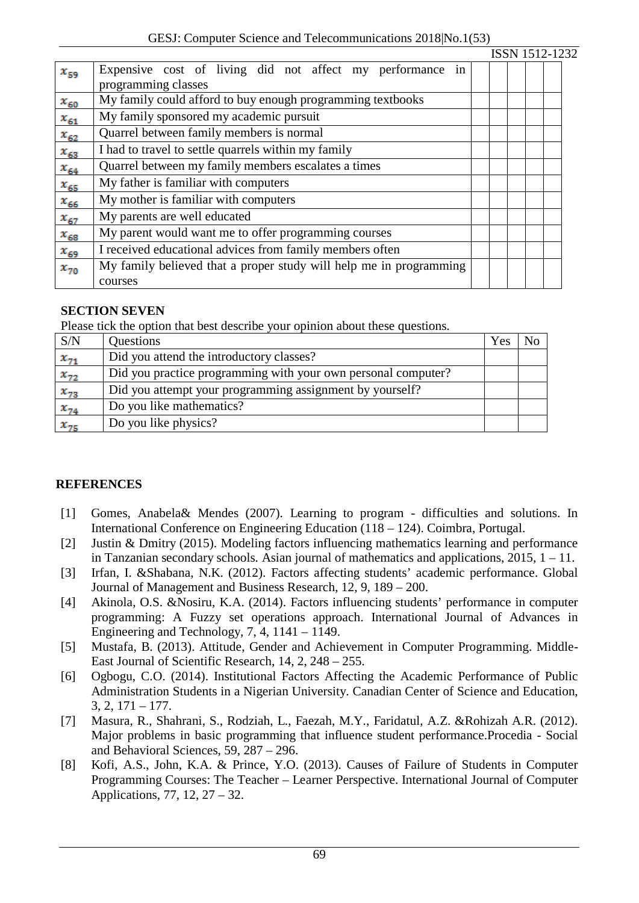|          |                                                                                  |  |  | ISSN 1512-1232 |
|----------|----------------------------------------------------------------------------------|--|--|----------------|
| $x_{59}$ | Expensive cost of living did not affect my performance in<br>programming classes |  |  |                |
|          |                                                                                  |  |  |                |
| $x_{60}$ | My family could afford to buy enough programming textbooks                       |  |  |                |
| $x_{61}$ | My family sponsored my academic pursuit                                          |  |  |                |
| $x_{62}$ | Quarrel between family members is normal                                         |  |  |                |
| $x_{63}$ | I had to travel to settle quarrels within my family                              |  |  |                |
| $x_{64}$ | Quarrel between my family members escalates a times                              |  |  |                |
| $x_{65}$ | My father is familiar with computers                                             |  |  |                |
| $x_{66}$ | My mother is familiar with computers                                             |  |  |                |
| $x_{67}$ | My parents are well educated                                                     |  |  |                |
| $x_{68}$ | My parent would want me to offer programming courses                             |  |  |                |
| $x_{69}$ | I received educational advices from family members often                         |  |  |                |
| $x_{70}$ | My family believed that a proper study will help me in programming               |  |  |                |
|          | courses                                                                          |  |  |                |

# **SECTION SEVEN**

Please tick the option that best describe your opinion about these questions.

| S/N      | <b>Questions</b>                                              | Yes | No |
|----------|---------------------------------------------------------------|-----|----|
| $x_{71}$ | Did you attend the introductory classes?                      |     |    |
| $x_{72}$ | Did you practice programming with your own personal computer? |     |    |
| $x_{73}$ | Did you attempt your programming assignment by yourself?      |     |    |
| $x_{74}$ | Do you like mathematics?                                      |     |    |
| $x_{75}$ | Do you like physics?                                          |     |    |

# **REFERENCES**

- [1] Gomes, Anabela& Mendes (2007). Learning to program difficulties and solutions. In International Conference on Engineering Education (118 – 124). Coimbra, Portugal.
- [2] Justin & Dmitry (2015). Modeling factors influencing mathematics learning and performance in Tanzanian secondary schools. Asian journal of mathematics and applications, 2015, 1 – 11.
- [3] Irfan, I. &Shabana, N.K. (2012). Factors affecting students' academic performance. Global Journal of Management and Business Research, 12, 9, 189 – 200.
- [4] Akinola, O.S. &Nosiru, K.A. (2014). Factors influencing students' performance in computer programming: A Fuzzy set operations approach. International Journal of Advances in Engineering and Technology, 7, 4, 1141 – 1149.
- [5] Mustafa, B. (2013). Attitude, Gender and Achievement in Computer Programming. Middle-East Journal of Scientific Research, 14, 2, 248 – 255.
- [6] Ogbogu, C.O. (2014). Institutional Factors Affecting the Academic Performance of Public Administration Students in a Nigerian University. Canadian Center of Science and Education, 3, 2, 171 – 177.
- [7] Masura, R., Shahrani, S., Rodziah, L., Faezah, M.Y., Faridatul, A.Z. &Rohizah A.R. (2012). Major problems in basic programming that influence student performance.Procedia - Social and Behavioral Sciences, 59, 287 – 296.
- [8] Kofi, A.S., John, K.A. & Prince, Y.O. (2013). Causes of Failure of Students in Computer Programming Courses: The Teacher – Learner Perspective. International Journal of Computer Applications, 77, 12, 27 – 32.